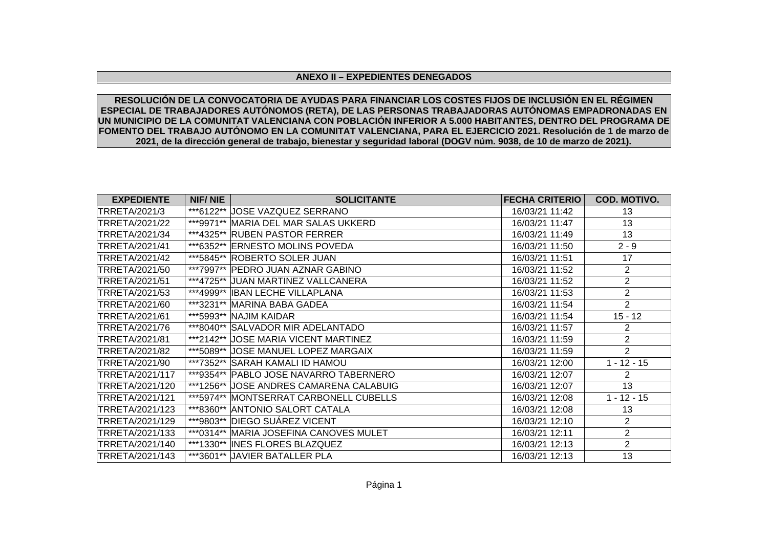## **ANEXO II – EXPEDIENTES DENEGADOS**

**RESOLUCIÓN DE LA CONVOCATORIA DE AYUDAS PARA FINANCIAR LOS COSTES FIJOS DE INCLUSIÓN EN EL RÉGIMEN ESPECIAL DE TRABAJADORES AUTÓNOMOS (RETA), DE LAS PERSONAS TRABAJADORAS AUTÓNOMAS EMPADRONADAS EN UN MUNICIPIO DE LA COMUNITAT VALENCIANA CON POBLACIÓN INFERIOR A 5.000 HABITANTES, DENTRO DEL PROGRAMA DE FOMENTO DEL TRABAJO AUTÓNOMO EN LA COMUNITAT VALENCIANA, PARA EL EJERCICIO 2021. Resolución de 1 de marzo de 2021, de la dirección general de trabajo, bienestar y seguridad laboral (DOGV núm. 9038, de 10 de marzo de 2021).**

| <b>EXPEDIENTE</b>    | <b>NIF/NIE</b> | <b>SOLICITANTE</b>                      | <b>FECHA CRITERIO</b> | <b>COD. MOTIVO.</b> |
|----------------------|----------------|-----------------------------------------|-----------------------|---------------------|
| <b>TRRETA/2021/3</b> |                | ***6122** JOSE VAZQUEZ SERRANO          | 16/03/21 11:42        | 13                  |
| TRRETA/2021/22       |                | ***9971** MARIA DEL MAR SALAS UKKERD    | 16/03/21 11:47        | 13                  |
| TRRETA/2021/34       |                | ***4325** RUBEN PASTOR FERRER           | 16/03/21 11:49        | 13                  |
| TRRETA/2021/41       |                | ***6352** ERNESTO MOLINS POVEDA         | 16/03/21 11:50        | $2 - 9$             |
| TRRETA/2021/42       |                | ***5845** ROBERTO SOLER JUAN            | 16/03/21 11:51        | 17                  |
| TRRETA/2021/50       |                | ***7997** PEDRO JUAN AZNAR GABINO       | 16/03/21 11:52        | 2                   |
| TRRETA/2021/51       |                | ***4725** JUAN MARTINEZ VALLCANERA      | 16/03/21 11:52        | 2                   |
| TRRETA/2021/53       |                | ***4999**  IBAN LECHE VILLAPLANA        | 16/03/21 11:53        | 2                   |
| TRRETA/2021/60       |                | ***3231** MARINA BABA GADEA             | 16/03/21 11:54        | 2                   |
| TRRETA/2021/61       |                | ***5993** NAJIM KAIDAR                  | 16/03/21 11:54        | $15 - 12$           |
| TRRETA/2021/76       |                | ***8040** SALVADOR MIR ADELANTADO       | 16/03/21 11:57        | 2                   |
| TRRETA/2021/81       |                | ***2142** JOSE MARIA VICENT MARTINEZ    | 16/03/21 11:59        | 2                   |
| TRRETA/2021/82       |                | ***5089** JOSE MANUEL LOPEZ MARGAIX     | 16/03/21 11:59        | 2                   |
| TRRETA/2021/90       |                | ***7352** SARAH KAMALI ID HAMOU         | 16/03/21 12:00        | $1 - 12 - 15$       |
| TRRETA/2021/117      |                | ***9354** PABLO JOSE NAVARRO TABERNERO  | 16/03/21 12:07        | 2                   |
| TRRETA/2021/120      |                | ***1256** JOSE ANDRES CAMARENA CALABUIG | 16/03/21 12:07        | 13                  |
| TRRETA/2021/121      |                | ***5974** MONTSERRAT CARBONELL CUBELLS  | 16/03/21 12:08        | $1 - 12 - 15$       |
| TRRETA/2021/123      |                | ***8360** ANTONIO SALORT CATALA         | 16/03/21 12:08        | 13                  |
| TRRETA/2021/129      |                | ***9803** DIEGO SUÁREZ VICENT           | 16/03/21 12:10        | 2                   |
| TRRETA/2021/133      |                | ***0314** MARIA JOSEFINA CANOVES MULET  | 16/03/21 12:11        | 2                   |
| TRRETA/2021/140      |                | ***1330**  INES FLORES BLAZQUEZ         | 16/03/21 12:13        | $\overline{2}$      |
| TRRETA/2021/143      |                | ***3601** JAVIER BATALLER PLA           | 16/03/21 12:13        | 13                  |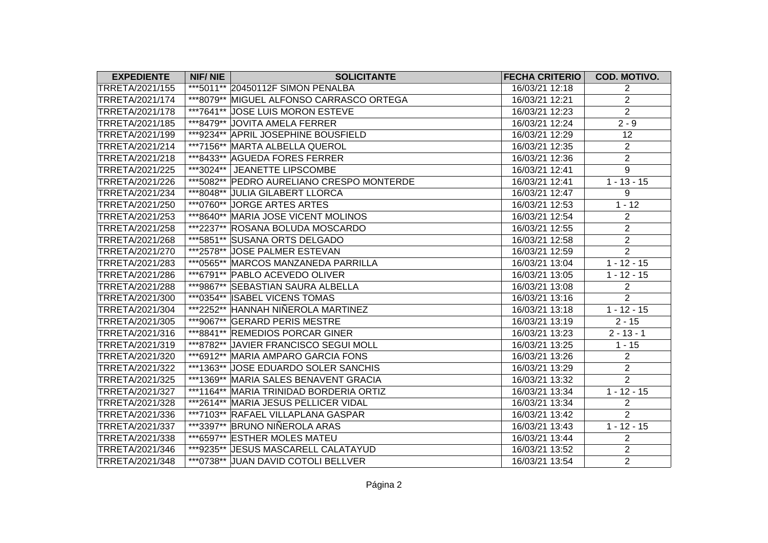| <b>EXPEDIENTE</b> | <b>NIF/NIE</b> | <b>SOLICITANTE</b>                        | <b>FECHA CRITERIO</b> | <b>COD. MOTIVO.</b> |
|-------------------|----------------|-------------------------------------------|-----------------------|---------------------|
| TRRETA/2021/155   |                | ***5011** 20450112F SIMON PENALBA         | 16/03/21 12:18        | $\overline{2}$      |
| TRRETA/2021/174   |                | ***8079** MIGUEL ALFONSO CARRASCO ORTEGA  | 16/03/21 12:21        | $\overline{c}$      |
| TRRETA/2021/178   |                | ***7641** JOSE LUIS MORON ESTEVE          | 16/03/21 12:23        | $\overline{2}$      |
| TRRETA/2021/185   |                | ***8479** JOVITA AMELA FERRER             | 16/03/21 12:24        | $2 - 9$             |
| TRRETA/2021/199   |                | ***9234** APRIL JOSEPHINE BOUSFIELD       | 16/03/21 12:29        | 12                  |
| TRRETA/2021/214   |                | ***7156** MARTA ALBELLA QUEROL            | 16/03/21 12:35        | $\overline{2}$      |
| TRRETA/2021/218   |                | ***8433** AGUEDA FORES FERRER             | 16/03/21 12:36        | $\overline{2}$      |
| TRRETA/2021/225   |                | ***3024** JEANETTE LIPSCOMBE              | 16/03/21 12:41        | 9                   |
| TRRETA/2021/226   |                | ***5082** PEDRO AURELIANO CRESPO MONTERDE | 16/03/21 12:41        | $1 - 13 - 15$       |
| TRRETA/2021/234   |                | ***8048** JULIA GILABERT LLORCA           | 16/03/21 12:47        | 9                   |
| TRRETA/2021/250   |                | ***0760** JORGE ARTES ARTES               | 16/03/21 12:53        | $1 - 12$            |
| TRRETA/2021/253   |                | ***8640** MARIA JOSE VICENT MOLINOS       | 16/03/21 12:54        | $\overline{2}$      |
| TRRETA/2021/258   |                | ***2237** ROSANA BOLUDA MOSCARDO          | 16/03/21 12:55        | $\overline{2}$      |
| TRRETA/2021/268   |                | ***5851** SUSANA ORTS DELGADO             | 16/03/21 12:58        | $\overline{2}$      |
| TRRETA/2021/270   |                | ***2578** JOSE PALMER ESTEVAN             | 16/03/21 12:59        | $\overline{2}$      |
| TRRETA/2021/283   |                | ***0565** MARCOS MANZANEDA PARRILLA       | 16/03/21 13:04        | $1 - 12 - 15$       |
| TRRETA/2021/286   |                | ***6791** PABLO ACEVEDO OLIVER            | 16/03/21 13:05        | $1 - 12 - 15$       |
| TRRETA/2021/288   |                | ***9867** SEBASTIAN SAURA ALBELLA         | 16/03/21 13:08        | $\overline{2}$      |
| TRRETA/2021/300   |                | ***0354** ISABEL VICENS TOMAS             | 16/03/21 13:16        | $\overline{2}$      |
| TRRETA/2021/304   |                | ***2252** HANNAH NIÑEROLA MARTINEZ        | 16/03/21 13:18        | $1 - 12 - 15$       |
| TRRETA/2021/305   |                | ***9067** GERARD PERIS MESTRE             | 16/03/21 13:19        | $2 - 15$            |
| TRRETA/2021/316   |                | ***8841** REMEDIOS PORCAR GINER           | 16/03/21 13:23        | $2 - 13 - 1$        |
| TRRETA/2021/319   |                | ***8782** JAVIER FRANCISCO SEGUI MOLL     | 16/03/21 13:25        | $1 - 15$            |
| TRRETA/2021/320   |                | ***6912** MARIA AMPARO GARCIA FONS        | 16/03/21 13:26        | $\overline{2}$      |
| TRRETA/2021/322   |                | ***1363** JOSE EDUARDO SOLER SANCHIS      | 16/03/21 13:29        | $\overline{2}$      |
| TRRETA/2021/325   |                | ***1369** MARIA SALES BENAVENT GRACIA     | 16/03/21 13:32        | $\overline{2}$      |
| TRRETA/2021/327   |                | ***1164** MARIA TRINIDAD BORDERIA ORTIZ   | 16/03/21 13:34        | $1 - 12 - 15$       |
| TRRETA/2021/328   |                | ***2614** MARIA JESUS PELLICER VIDAL      | 16/03/21 13:34        | $\overline{2}$      |
| TRRETA/2021/336   |                | ***7103** RAFAEL VILLAPLANA GASPAR        | 16/03/21 13:42        | $\overline{2}$      |
| TRRETA/2021/337   |                | ***3397** BRUNO NIÑEROLA ARAS             | 16/03/21 13:43        | $1 - 12 - 15$       |
| TRRETA/2021/338   |                | ***6597** ESTHER MOLES MATEU              | 16/03/21 13:44        | $\overline{2}$      |
| TRRETA/2021/346   |                | ***9235** JESUS MASCARELL CALATAYUD       | 16/03/21 13:52        | $\overline{2}$      |
| TRRETA/2021/348   |                | ***0738** JUAN DAVID COTOLI BELLVER       | 16/03/21 13:54        | $\overline{2}$      |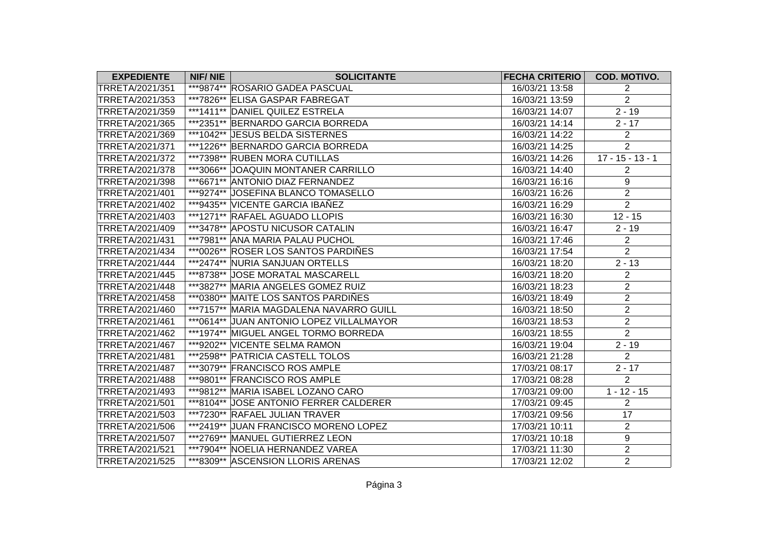| <b>EXPEDIENTE</b> | <b>NIF/NIE</b> | <b>SOLICITANTE</b>                        | <b>FECHA CRITERIO</b> | <b>COD. MOTIVO.</b> |
|-------------------|----------------|-------------------------------------------|-----------------------|---------------------|
| TRRETA/2021/351   |                | ***9874** ROSARIO GADEA PASCUAL           | 16/03/21 13:58        | $\overline{2}$      |
| TRRETA/2021/353   |                | ***7826** ELISA GASPAR FABREGAT           | 16/03/21 13:59        | $\overline{2}$      |
| TRRETA/2021/359   |                | ***1411** DANIEL QUILEZ ESTRELA           | 16/03/21 14:07        | $2 - 19$            |
| TRRETA/2021/365   |                | ***2351** BERNARDO GARCIA BORREDA         | 16/03/21 14:14        | $2 - 17$            |
| TRRETA/2021/369   |                | ***1042** JESUS BELDA SISTERNES           | 16/03/21 14:22        | $\overline{2}$      |
| TRRETA/2021/371   |                | ***1226** BERNARDO GARCIA BORREDA         | 16/03/21 14:25        | $\overline{2}$      |
| TRRETA/2021/372   |                | ***7398** RUBEN MORA CUTILLAS             | 16/03/21 14:26        | $17 - 15 - 13 - 1$  |
| TRRETA/2021/378   |                | ***3066** JOAQUIN MONTANER CARRILLO       | 16/03/21 14:40        | $\overline{2}$      |
| TRRETA/2021/398   |                | ***6671** ANTONIO DIAZ FERNANDEZ          | 16/03/21 16:16        | 9                   |
| TRRETA/2021/401   |                | ***9274** JOSEFINA BLANCO TOMASELLO       | 16/03/21 16:26        | $\overline{c}$      |
| TRRETA/2021/402   |                | ***9435** VICENTE GARCIA IBAÑEZ           | 16/03/21 16:29        | $\overline{2}$      |
| TRRETA/2021/403   |                | ***1271** RAFAEL AGUADO LLOPIS            | 16/03/21 16:30        | $12 - 15$           |
| TRRETA/2021/409   |                | ***3478** APOSTU NICUSOR CATALIN          | 16/03/21 16:47        | $2 - 19$            |
| TRRETA/2021/431   |                | ***7981** ANA MARIA PALAU PUCHOL          | 16/03/21 17:46        | $\overline{2}$      |
| TRRETA/2021/434   |                | ***0026** ROSER LOS SANTOS PARDIÑES       | 16/03/21 17:54        | $\overline{2}$      |
| TRRETA/2021/444   |                | ***2474** NURIA SANJUAN ORTELLS           | 16/03/21 18:20        | $2 - 13$            |
| TRRETA/2021/445   |                | ***8738** JOSE MORATAL MASCARELL          | 16/03/21 18:20        | $\overline{c}$      |
| TRRETA/2021/448   |                | ***3827** MARIA ANGELES GOMEZ RUIZ        | 16/03/21 18:23        | $\overline{2}$      |
| TRRETA/2021/458   |                | ***0380** MAITE LOS SANTOS PARDIÑES       | 16/03/21 18:49        | $\overline{c}$      |
| TRRETA/2021/460   |                | ***7157** MARIA MAGDALENA NAVARRO GUILL   | 16/03/21 18:50        | $\overline{2}$      |
| TRRETA/2021/461   |                | *** 0614** JUAN ANTONIO LOPEZ VILLALMAYOR | 16/03/21 18:53        | $\overline{2}$      |
| TRRETA/2021/462   |                | ***1974** MIGUEL ANGEL TORMO BORREDA      | 16/03/21 18:55        | $\overline{2}$      |
| TRRETA/2021/467   |                | ***9202** VICENTE SELMA RAMON             | 16/03/21 19:04        | $2 - 19$            |
| TRRETA/2021/481   |                | ***2598** PATRICIA CASTELL TOLOS          | 16/03/21 21:28        | $\overline{2}$      |
| TRRETA/2021/487   |                | ***3079** FRANCISCO ROS AMPLE             | 17/03/21 08:17        | $2 - 17$            |
| TRRETA/2021/488   |                | ***9801** FRANCISCO ROS AMPLE             | 17/03/21 08:28        | $\overline{2}$      |
| TRRETA/2021/493   |                | ***9812** MARIA ISABEL LOZANO CARO        | 17/03/21 09:00        | $1 - 12 - 15$       |
| TRRETA/2021/501   |                | ***8104** JOSE ANTONIO FERRER CALDERER    | 17/03/21 09:45        | $\overline{2}$      |
| TRRETA/2021/503   |                | ***7230** RAFAEL JULIAN TRAVER            | 17/03/21 09:56        | 17                  |
| TRRETA/2021/506   |                | ***2419** JUAN FRANCISCO MORENO LOPEZ     | 17/03/21 10:11        | $\overline{2}$      |
| TRRETA/2021/507   |                | ***2769** MANUEL GUTIERREZ LEON           | 17/03/21 10:18        | 9                   |
| TRRETA/2021/521   |                | ***7904** NOELIA HERNANDEZ VAREA          | 17/03/21 11:30        | $\overline{c}$      |
| TRRETA/2021/525   |                | ***8309** ASCENSION LLORIS ARENAS         | 17/03/21 12:02        | $\overline{2}$      |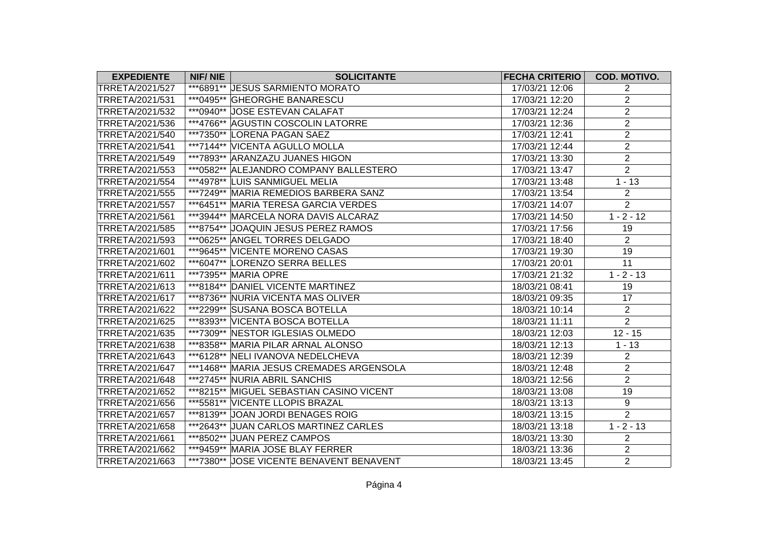| <b>EXPEDIENTE</b> | <b>NIF/NIE</b> | <b>SOLICITANTE</b>                       | <b>FECHA CRITERIO</b> | <b>COD. MOTIVO.</b> |
|-------------------|----------------|------------------------------------------|-----------------------|---------------------|
| TRRETA/2021/527   |                | ***6891** JESUS SARMIENTO MORATO         | 17/03/21 12:06        | $\overline{2}$      |
| TRRETA/2021/531   |                | ***0495** GHEORGHE BANARESCU             | 17/03/21 12:20        | $\overline{c}$      |
| TRRETA/2021/532   |                | ***0940** JOSE ESTEVAN CALAFAT           | 17/03/21 12:24        | $\overline{c}$      |
| TRRETA/2021/536   |                | ***4766** AGUSTIN COSCOLIN LATORRE       | 17/03/21 12:36        | $\overline{2}$      |
| TRRETA/2021/540   |                | ***7350** LORENA PAGAN SAEZ              | 17/03/21 12:41        | $\overline{2}$      |
| TRRETA/2021/541   |                | ***7144** VICENTA AGULLO MOLLA           | 17/03/21 12:44        | $\overline{c}$      |
| TRRETA/2021/549   |                | ***7893** ARANZAZU JUANES HIGON          | 17/03/21 13:30        | $\overline{2}$      |
| TRRETA/2021/553   |                | ***0582** ALEJANDRO COMPANY BALLESTERO   | 17/03/21 13:47        | $\overline{2}$      |
| TRRETA/2021/554   |                | ***4978** LUIS SANMIGUEL MELIA           | 17/03/21 13:48        | $1 - 13$            |
| TRRETA/2021/555   |                | ***7249** MARIA REMEDIOS BARBERA SANZ    | 17/03/21 13:54        | $\overline{c}$      |
| TRRETA/2021/557   |                | ***6451** MARIA TERESA GARCIA VERDES     | 17/03/21 14:07        | $\overline{2}$      |
| TRRETA/2021/561   |                | ***3944** MARCELA NORA DAVIS ALCARAZ     | 17/03/21 14:50        | $1 - 2 - 12$        |
| TRRETA/2021/585   |                | ***8754** JOAQUIN JESUS PEREZ RAMOS      | 17/03/21 17:56        | 19                  |
| TRRETA/2021/593   |                | ***0625** ANGEL TORRES DELGADO           | 17/03/21 18:40        | $\overline{2}$      |
| TRRETA/2021/601   |                | ***9645** VICENTE MORENO CASAS           | 17/03/21 19:30        | 19                  |
| TRRETA/2021/602   |                | ***6047** LORENZO SERRA BELLES           | 17/03/21 20:01        | 11                  |
| TRRETA/2021/611   |                | ***7395** MARIA OPRE                     | 17/03/21 21:32        | $1 - 2 - 13$        |
| TRRETA/2021/613   |                | ***8184** DANIEL VICENTE MARTINEZ        | 18/03/21 08:41        | 19                  |
| TRRETA/2021/617   |                | ***8736** NURIA VICENTA MAS OLIVER       | 18/03/21 09:35        | 17                  |
| TRRETA/2021/622   |                | ***2299** SUSANA BOSCA BOTELLA           | 18/03/21 10:14        | $\overline{c}$      |
| TRRETA/2021/625   |                | ***8393** VICENTA BOSCA BOTELLA          | 18/03/21 11:11        | $\overline{2}$      |
| TRRETA/2021/635   |                | ***7309** NESTOR IGLESIAS OLMEDO         | 18/03/21 12:03        | $12 - 15$           |
| TRRETA/2021/638   |                | ***8358** MARIA PILAR ARNAL ALONSO       | 18/03/21 12:13        | $1 - 13$            |
| TRRETA/2021/643   |                | ***6128** NELI IVANOVA NEDELCHEVA        | 18/03/21 12:39        | $\overline{2}$      |
| TRRETA/2021/647   |                | ***1468** MARIA JESUS CREMADES ARGENSOLA | 18/03/21 12:48        | $\overline{c}$      |
| TRRETA/2021/648   |                | ***2745** NURIA ABRIL SANCHIS            | 18/03/21 12:56        | $\overline{2}$      |
| TRRETA/2021/652   |                | ***8215** MIGUEL SEBASTIAN CASINO VICENT | 18/03/21 13:08        | 19                  |
| TRRETA/2021/656   |                | ***5581** VICENTE LLOPIS BRAZAL          | 18/03/21 13:13        | 9                   |
| TRRETA/2021/657   |                | ***8139** JOAN JORDI BENAGES ROIG        | 18/03/21 13:15        | $\overline{2}$      |
| TRRETA/2021/658   |                | ***2643** JUAN CARLOS MARTINEZ CARLES    | 18/03/21 13:18        | $1 - 2 - 13$        |
| TRRETA/2021/661   |                | ***8502** JUAN PEREZ CAMPOS              | 18/03/21 13:30        | $\overline{2}$      |
| TRRETA/2021/662   |                | ***9459** MARIA JOSE BLAY FERRER         | 18/03/21 13:36        | $\overline{2}$      |
| TRRETA/2021/663   |                | ***7380** JOSE VICENTE BENAVENT BENAVENT | 18/03/21 13:45        | $\overline{2}$      |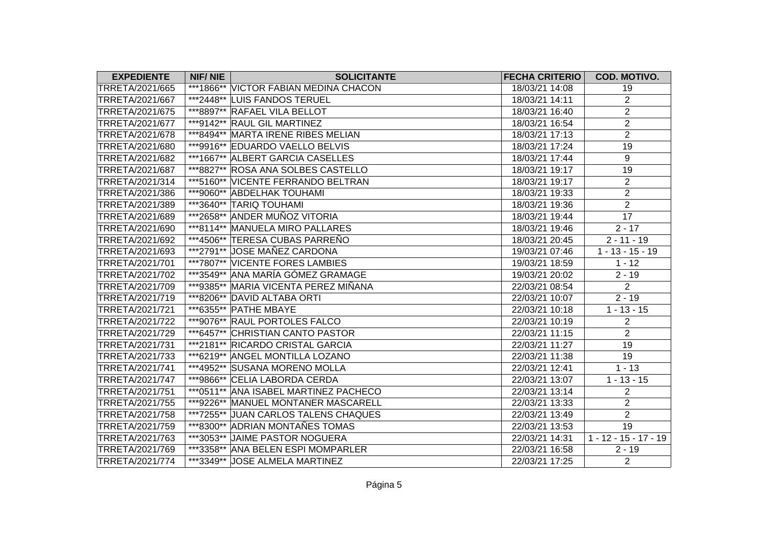| <b>EXPEDIENTE</b> | <b>NIF/NIE</b> | <b>SOLICITANTE</b>                    | <b>FECHA CRITERIO</b> | COD. MOTIVO.            |
|-------------------|----------------|---------------------------------------|-----------------------|-------------------------|
| TRRETA/2021/665   |                | ***1866** VICTOR FABIAN MEDINA CHACON | 18/03/21 14:08        | 19                      |
| TRRETA/2021/667   |                | ***2448** LUIS FANDOS TERUEL          | 18/03/21 14:11        | $\overline{2}$          |
| TRRETA/2021/675   |                | ***8897** RAFAEL VILA BELLOT          | 18/03/21 16:40        | $\overline{2}$          |
| TRRETA/2021/677   |                | ***9142** RAUL GIL MARTINEZ           | 18/03/21 16:54        | $\overline{2}$          |
| TRRETA/2021/678   |                | ***8494** MARTA IRENE RIBES MELIAN    | 18/03/21 17:13        | $\overline{2}$          |
| TRRETA/2021/680   |                | ***9916** EDUARDO VAELLO BELVIS       | 18/03/21 17:24        | 19                      |
| TRRETA/2021/682   |                | ***1667** ALBERT GARCIA CASELLES      | 18/03/21 17:44        | 9                       |
| TRRETA/2021/687   |                | ***8827** ROSA ANA SOLBES CASTELLO    | 18/03/21 19:17        | 19                      |
| TRRETA/2021/314   |                | ***5160** VICENTE FERRANDO BELTRAN    | 18/03/21 19:17        | $\overline{2}$          |
| TRRETA/2021/386   |                | ***9060** ABDELHAK TOUHAMI            | 18/03/21 19:33        | $\overline{c}$          |
| TRRETA/2021/389   |                | ***3640** TARIQ TOUHAMI               | 18/03/21 19:36        | $\overline{2}$          |
| TRRETA/2021/689   |                | ***2658** ANDER MUÑOZ VITORIA         | 18/03/21 19:44        | 17                      |
| TRRETA/2021/690   |                | ***8114** MANUELA MIRO PALLARES       | 18/03/21 19:46        | $2 - 17$                |
| TRRETA/2021/692   |                | ***4506** TERESA CUBAS PARREÑO        | 18/03/21 20:45        | $2 - 11 - 19$           |
| TRRETA/2021/693   |                | ***2791** JOSE MAÑEZ CARDONA          | 19/03/21 07:46        | $1 - 13 - 15 - 19$      |
| TRRETA/2021/701   |                | ***7807** VICENTE FORES LAMBIES       | 19/03/21 18:59        | $1 - 12$                |
| TRRETA/2021/702   |                | ***3549** ANA MARÍA GÓMEZ GRAMAGE     | 19/03/21 20:02        | $2 - 19$                |
| TRRETA/2021/709   |                | ***9385** MARIA VICENTA PEREZ MIÑANA  | 22/03/21 08:54        | $\overline{2}$          |
| TRRETA/2021/719   |                | ***8206** DAVID ALTABA ORTI           | 22/03/21 10:07        | $2 - 19$                |
| TRRETA/2021/721   |                | ***6355** PATHE MBAYE                 | 22/03/21 10:18        | $1 - 13 - 15$           |
| TRRETA/2021/722   |                | ***9076** RAUL PORTOLES FALCO         | 22/03/21 10:19        | $\overline{2}$          |
| TRRETA/2021/729   |                | ***6457** CHRISTIAN CANTO PASTOR      | 22/03/21 11:15        | $\overline{2}$          |
| TRRETA/2021/731   |                | ***2181** RICARDO CRISTAL GARCIA      | 22/03/21 11:27        | 19                      |
| TRRETA/2021/733   |                | ***6219** ANGEL MONTILLA LOZANO       | 22/03/21 11:38        | 19                      |
| TRRETA/2021/741   |                | ***4952** SUSANA MORENO MOLLA         | 22/03/21 12:41        | $1 - 13$                |
| TRRETA/2021/747   |                | ***9866** CELIA LABORDA CERDA         | 22/03/21 13:07        | $1 - 13 - 15$           |
| TRRETA/2021/751   |                | ***0511** ANA ISABEL MARTINEZ PACHECO | 22/03/21 13:14        | $\overline{c}$          |
| TRRETA/2021/755   |                | ***9226** MANUEL MONTANER MASCARELL   | 22/03/21 13:33        | $\overline{2}$          |
| TRRETA/2021/758   |                | ***7255** JUAN CARLOS TALENS CHAQUES  | 22/03/21 13:49        | $\overline{2}$          |
| TRRETA/2021/759   |                | ***8300** ADRIAN MONTAÑES TOMAS       | 22/03/21 13:53        | 19                      |
| TRRETA/2021/763   |                | ***3053** JAIME PASTOR NOGUERA        | 22/03/21 14:31        | $1 - 12 - 15 - 17 - 19$ |
| TRRETA/2021/769   |                | ***3358** ANA BELEN ESPI MOMPARLER    | 22/03/21 16:58        | $2 - 19$                |
| TRRETA/2021/774   |                | ***3349** JOSE ALMELA MARTINEZ        | 22/03/21 17:25        | $\overline{2}$          |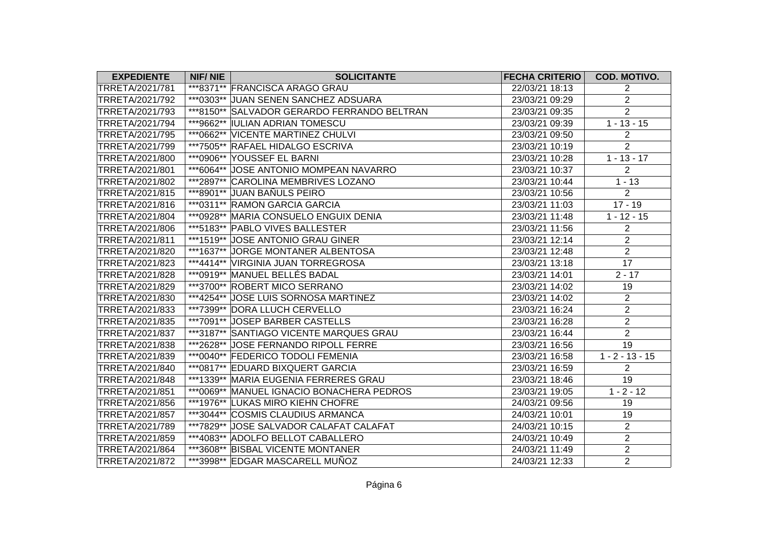| <b>EXPEDIENTE</b> | <b>NIF/NIE</b> | <b>SOLICITANTE</b>                          | <b>FECHA CRITERIO</b> | <b>COD. MOTIVO.</b> |
|-------------------|----------------|---------------------------------------------|-----------------------|---------------------|
| TRRETA/2021/781   |                | ***8371** FRANCISCA ARAGO GRAU              | 22/03/21 18:13        | $\overline{2}$      |
| TRRETA/2021/792   |                | ***0303** JUAN SENEN SANCHEZ ADSUARA        | 23/03/21 09:29        | $\overline{c}$      |
| TRRETA/2021/793   |                | ***8150** SALVADOR GERARDO FERRANDO BELTRAN | 23/03/21 09:35        | $\overline{2}$      |
| TRRETA/2021/794   |                | ***9662** IULIAN ADRIAN TOMESCU             | 23/03/21 09:39        | $1 - 13 - 15$       |
| TRRETA/2021/795   |                | ***0662** VICENTE MARTINEZ CHULVI           | 23/03/21 09:50        | $\overline{2}$      |
| TRRETA/2021/799   |                | ***7505** RAFAEL HIDALGO ESCRIVA            | 23/03/21 10:19        | $\overline{2}$      |
| TRRETA/2021/800   |                | ***0906** YOUSSEF EL BARNI                  | 23/03/21 10:28        | $1 - 13 - 17$       |
| TRRETA/2021/801   |                | ***6064** JOSE ANTONIO MOMPEAN NAVARRO      | 23/03/21 10:37        | $\overline{2}$      |
| TRRETA/2021/802   |                | ***2897** CAROLINA MEMBRIVES LOZANO         | 23/03/21 10:44        | $1 - 13$            |
| TRRETA/2021/815   |                | ***8901** JUAN BAÑULS PEIRO                 | 23/03/21 10:56        | $\overline{2}$      |
| TRRETA/2021/816   |                | ***0311** RAMON GARCIA GARCIA               | 23/03/21 11:03        | $17 - 19$           |
| TRRETA/2021/804   |                | ***0928** MARIA CONSUELO ENGUIX DENIA       | 23/03/21 11:48        | $1 - 12 - 15$       |
| TRRETA/2021/806   |                | ***5183** PABLO VIVES BALLESTER             | 23/03/21 11:56        | $\overline{c}$      |
| TRRETA/2021/811   |                | ***1519** JOSE ANTONIO GRAU GINER           | 23/03/21 12:14        | $\overline{2}$      |
| TRRETA/2021/820   |                | ***1637** JORGE MONTANER ALBENTOSA          | 23/03/21 12:48        | $\overline{2}$      |
| TRRETA/2021/823   |                | ***4414** VIRGINIA JUAN TORREGROSA          | 23/03/21 13:18        | 17                  |
| TRRETA/2021/828   |                | *** 0919** MANUEL BELLÉS BADAL              | 23/03/21 14:01        | $2 - 17$            |
| TRRETA/2021/829   |                | ***3700** ROBERT MICO SERRANO               | 23/03/21 14:02        | 19                  |
| TRRETA/2021/830   |                | ***4254** JOSE LUIS SORNOSA MARTINEZ        | 23/03/21 14:02        | $\overline{2}$      |
| TRRETA/2021/833   |                | ***7399** DORA LLUCH CERVELLO               | 23/03/21 16:24        | $\overline{c}$      |
| TRRETA/2021/835   |                | ***7091** JOSEP BARBER CASTELLS             | 23/03/21 16:28        | $\overline{c}$      |
| TRRETA/2021/837   |                | ***3187** SANTIAGO VICENTE MARQUES GRAU     | 23/03/21 16:44        | $\overline{2}$      |
| TRRETA/2021/838   |                | ***2628** JOSE FERNANDO RIPOLL FERRE        | 23/03/21 16:56        | 19                  |
| TRRETA/2021/839   |                | ***0040** FEDERICO TODOLI FEMENIA           | 23/03/21 16:58        | $1 - 2 - 13 - 15$   |
| TRRETA/2021/840   |                | *** 0817** EDUARD BIXQUERT GARCIA           | 23/03/21 16:59        | $\overline{2}$      |
| TRRETA/2021/848   |                | ***1339** MARIA EUGENIA FERRERES GRAU       | 23/03/21 18:46        | 19                  |
| TRRETA/2021/851   |                | ***0069** MANUEL IGNACIO BONACHERA PEDROS   | 23/03/21 19:05        | $1 - 2 - 12$        |
| TRRETA/2021/856   |                | ***1976** LUKAS MIRO KIEHN CHOFRE           | 24/03/21 09:56        | 19                  |
| TRRETA/2021/857   |                | ***3044** COSMIS CLAUDIUS ARMANCA           | 24/03/21 10:01        | 19                  |
| TRRETA/2021/789   |                | ***7829** JOSE SALVADOR CALAFAT CALAFAT     | 24/03/21 10:15        | $\overline{c}$      |
| TRRETA/2021/859   |                | ***4083** ADOLFO BELLOT CABALLERO           | 24/03/21 10:49        | $\overline{2}$      |
| TRRETA/2021/864   |                | ***3608** BISBAL VICENTE MONTANER           | 24/03/21 11:49        | $\overline{c}$      |
| TRRETA/2021/872   |                | ***3998** EDGAR MASCARELL MUÑOZ             | 24/03/21 12:33        | $\overline{2}$      |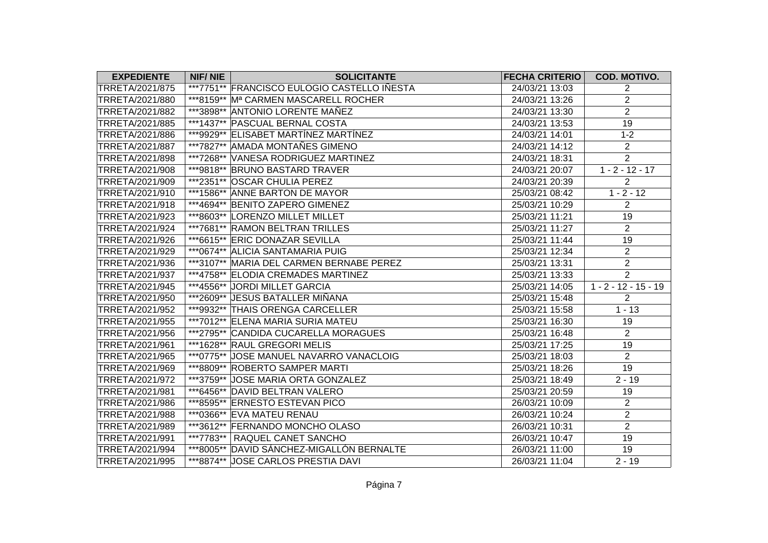| <b>EXPEDIENTE</b> | NIF/NIE | <b>SOLICITANTE</b>                          | <b>FECHA CRITERIO</b> | <b>COD. MOTIVO.</b>    |
|-------------------|---------|---------------------------------------------|-----------------------|------------------------|
| TRRETA/2021/875   |         | ***7751** FRANCISCO EULOGIO CASTELLO IÑESTA | 24/03/21 13:03        | $\overline{2}$         |
| TRRETA/2021/880   |         | ***8159** Ma CARMEN MASCARELL ROCHER        | 24/03/21 13:26        | $\overline{2}$         |
| TRRETA/2021/882   |         | ***3898** ANTONIO LORENTE MAÑEZ             | 24/03/21 13:30        | $\overline{2}$         |
| TRRETA/2021/885   |         | ***1437** PASCUAL BERNAL COSTA              | 24/03/21 13:53        | 19                     |
| TRRETA/2021/886   |         | ***9929** ELISABET MARTÍNEZ MARTÍNEZ        | 24/03/21 14:01        | $1 - 2$                |
| TRRETA/2021/887   |         | ***7827** AMADA MONTAÑES GIMENO             | 24/03/21 14:12        | $\overline{2}$         |
| TRRETA/2021/898   |         | ***7268** VANESA RODRIGUEZ MARTINEZ         | 24/03/21 18:31        | $\overline{2}$         |
| TRRETA/2021/908   |         | ***9818** BRUNO BASTARD TRAVER              | 24/03/21 20:07        | $1 - 2 - 12 - 17$      |
| TRRETA/2021/909   |         | ***2351** OSCAR CHULIA PEREZ                | 24/03/21 20:39        | $\overline{2}$         |
| TRRETA/2021/910   |         | ***1586** ANNE BARTON DE MAYOR              | 25/03/21 08:42        | $1 - 2 - 12$           |
| TRRETA/2021/918   |         | ***4694** BENITO ZAPERO GIMENEZ             | 25/03/21 10:29        | $\overline{2}$         |
| TRRETA/2021/923   |         | ***8603** LORENZO MILLET MILLET             | 25/03/21 11:21        | 19                     |
| TRRETA/2021/924   |         | ***7681** RAMON BELTRAN TRILLES             | 25/03/21 11:27        | $\overline{2}$         |
| TRRETA/2021/926   |         | ***6615** ERIC DONAZAR SEVILLA              | 25/03/21 11:44        | 19                     |
| TRRETA/2021/929   |         | ***0674** ALICIA SANTAMARIA PUIG            | 25/03/21 12:34        | $\overline{c}$         |
| TRRETA/2021/936   |         | ***3107** MARIA DEL CARMEN BERNABE PEREZ    | 25/03/21 13:31        | $\overline{2}$         |
| TRRETA/2021/937   |         | ***4758** ELODIA CREMADES MARTINEZ          | 25/03/21 13:33        | $\overline{2}$         |
| TRRETA/2021/945   |         | ***4556** JORDI MILLET GARCIA               | 25/03/21 14:05        | $1 - 2 - 12 - 15 - 19$ |
| TRRETA/2021/950   |         | ***2609** JESUS BATALLER MIÑANA             | 25/03/21 15:48        | $\overline{2}$         |
| TRRETA/2021/952   |         | ***9932** THAIS ORENGA CARCELLER            | 25/03/21 15:58        | $1 - 13$               |
| TRRETA/2021/955   |         | ***7012** ELENA MARIA SURIA MATEU           | 25/03/21 16:30        | 19                     |
| TRRETA/2021/956   |         | ***2795** CANDIDA CUCARELLA MORAGUES        | 25/03/21 16:48        | $\overline{2}$         |
| TRRETA/2021/961   |         | ***1628** RAUL GREGORI MELIS                | 25/03/21 17:25        | 19                     |
| TRRETA/2021/965   |         | ***0775** JOSE MANUEL NAVARRO VANACLOIG     | 25/03/21 18:03        | $\overline{2}$         |
| TRRETA/2021/969   |         | ***8809** ROBERTO SAMPER MARTI              | 25/03/21 18:26        | 19                     |
| TRRETA/2021/972   |         | ***3759** JOSE MARIA ORTA GONZALEZ          | 25/03/21 18:49        | $2 - 19$               |
| TRRETA/2021/981   |         | ***6456** DAVID BELTRAN VALERO              | 25/03/21 20:59        | 19                     |
| TRRETA/2021/986   |         | ***8595** ERNESTO ESTEVAN PICO              | 26/03/21 10:09        | $\overline{2}$         |
| TRRETA/2021/988   |         | ***0366** EVA MATEU RENAU                   | 26/03/21 10:24        | $\overline{c}$         |
| TRRETA/2021/989   |         | ***3612** FERNANDO MONCHO OLASO             | 26/03/21 10:31        | $\overline{2}$         |
| TRRETA/2021/991   |         | ***7783**   RAQUEL CANET SANCHO             | 26/03/21 10:47        | 19                     |
| TRRETA/2021/994   |         | ***8005** DAVID SÁNCHEZ-MIGALLÓN BERNALTE   | 26/03/21 11:00        | 19                     |
| TRRETA/2021/995   |         | ***8874** JOSE CARLOS PRESTIA DAVI          | 26/03/21 11:04        | $2 - 19$               |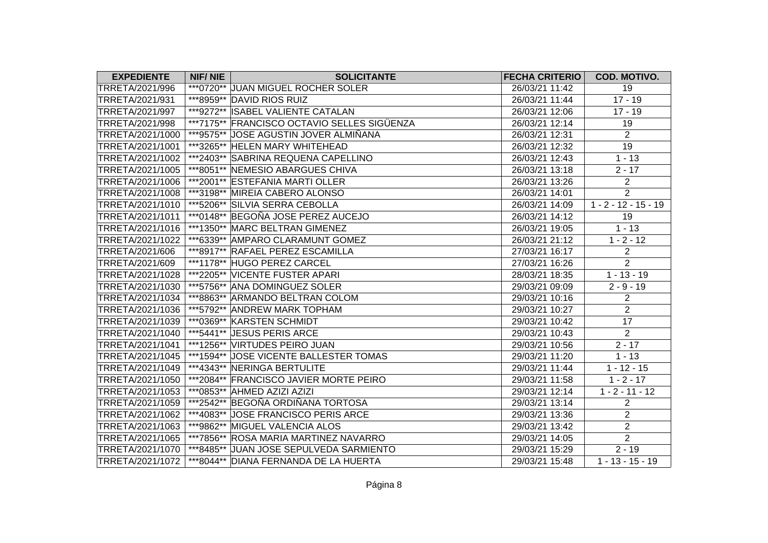| <b>EXPEDIENTE</b> | <b>NIF/NIE</b> | <b>SOLICITANTE</b>                          | <b>FECHA CRITERIO</b> | <b>COD. MOTIVO.</b>    |
|-------------------|----------------|---------------------------------------------|-----------------------|------------------------|
| TRRETA/2021/996   |                | ***0720** JUAN MIGUEL ROCHER SOLER          | 26/03/21 11:42        | 19                     |
| TRRETA/2021/931   |                | ***8959** DAVID RIOS RUIZ                   | 26/03/21 11:44        | $17 - 19$              |
| TRRETA/2021/997   |                | ***9272** ISABEL VALIENTE CATALAN           | 26/03/21 12:06        | $17 - 19$              |
| TRRETA/2021/998   |                | ***7175** FRANCISCO OCTAVIO SELLES SIGÜENZA | 26/03/21 12:14        | 19                     |
| TRRETA/2021/1000  |                | ***9575** JOSE AGUSTIN JOVER ALMIÑANA       | 26/03/21 12:31        | $\overline{2}$         |
| TRRETA/2021/1001  |                | ***3265** HELEN MARY WHITEHEAD              | 26/03/21 12:32        | 19                     |
| TRRETA/2021/1002  |                | ***2403** SABRINA REQUENA CAPELLINO         | 26/03/21 12:43        | $1 - 13$               |
| TRRETA/2021/1005  |                | ***8051** NEMESIO ABARGUES CHIVA            | 26/03/21 13:18        | $2 - 17$               |
| TRRETA/2021/1006  |                | ***2001** ESTEFANIA MARTI OLLER             | 26/03/21 13:26        | $\overline{2}$         |
| TRRETA/2021/1008  |                | ***3198** MIREIA CABERO ALONSO              | 26/03/21 14:01        | $\overline{2}$         |
| TRRETA/2021/1010  |                | ***5206** SILVIA SERRA CEBOLLA              | 26/03/21 14:09        | $1 - 2 - 12 - 15 - 19$ |
| TRRETA/2021/1011  |                | ***0148** BEGOÑA JOSE PEREZ AUCEJO          | 26/03/21 14:12        | 19                     |
| TRRETA/2021/1016  |                | ***1350** MARC BELTRAN GIMENEZ              | 26/03/21 19:05        | $1 - 13$               |
| TRRETA/2021/1022  |                | ***6339** AMPARO CLARAMUNT GOMEZ            | 26/03/21 21:12        | $1 - 2 - 12$           |
| TRRETA/2021/606   |                | ***8917** RAFAEL PEREZ ESCAMILLA            | 27/03/21 16:17        | $\overline{c}$         |
| TRRETA/2021/609   |                | ***1178** HUGO PEREZ CARCEL                 | 27/03/21 16:26        | $\overline{2}$         |
| TRRETA/2021/1028  |                | ***2205** VICENTE FUSTER APARI              | 28/03/21 18:35        | $1 - 13 - 19$          |
| TRRETA/2021/1030  |                | ***5756** ANA DOMINGUEZ SOLER               | 29/03/21 09:09        | $2 - 9 - 19$           |
| TRRETA/2021/1034  |                | ***8863** ARMANDO BELTRAN COLOM             | 29/03/21 10:16        | 2                      |
| TRRETA/2021/1036  |                | ***5792** ANDREW MARK TOPHAM                | 29/03/21 10:27        | $\overline{2}$         |
| TRRETA/2021/1039  |                | ***0369** KARSTEN SCHMIDT                   | 29/03/21 10:42        | 17                     |
| TRRETA/2021/1040  |                | ***5441** JESUS PERIS ARCE                  | 29/03/21 10:43        | $\overline{2}$         |
| TRRETA/2021/1041  |                | ***1256** VIRTUDES PEIRO JUAN               | 29/03/21 10:56        | $2 - 17$               |
| TRRETA/2021/1045  |                | ***1594** JOSE VICENTE BALLESTER TOMAS      | 29/03/21 11:20        | $1 - 13$               |
| TRRETA/2021/1049  |                | ***4343** NERINGA BERTULITE                 | 29/03/21 11:44        | $1 - 12 - 15$          |
| TRRETA/2021/1050  |                | ***2084** FRANCISCO JAVIER MORTE PEIRO      | 29/03/21 11:58        | $1 - 2 - 17$           |
| TRRETA/2021/1053  |                | ***0853** AHMED AZIZI AZIZI                 | 29/03/21 12:14        | $1 - 2 - 11 - 12$      |
| TRRETA/2021/1059  |                | ***2542** BEGOÑA ORDIÑANA TORTOSA           | 29/03/21 13:14        | $\overline{2}$         |
| TRRETA/2021/1062  |                | ***4083** JOSE FRANCISCO PERIS ARCE         | 29/03/21 13:36        | $\overline{c}$         |
| TRRETA/2021/1063  |                | ***9862** MIGUEL VALENCIA ALOS              | 29/03/21 13:42        | $\overline{2}$         |
| TRRETA/2021/1065  |                | ***7856** ROSA MARIA MARTINEZ NAVARRO       | 29/03/21 14:05        | $\overline{2}$         |
| TRRETA/2021/1070  |                | ***8485** JUAN JOSE SEPULVEDA SARMIENTO     | 29/03/21 15:29        | $2 - 19$               |
| TRRETA/2021/1072  |                | ***8044** DIANA FERNANDA DE LA HUERTA       | 29/03/21 15:48        | $1 - 13 - 15 - 19$     |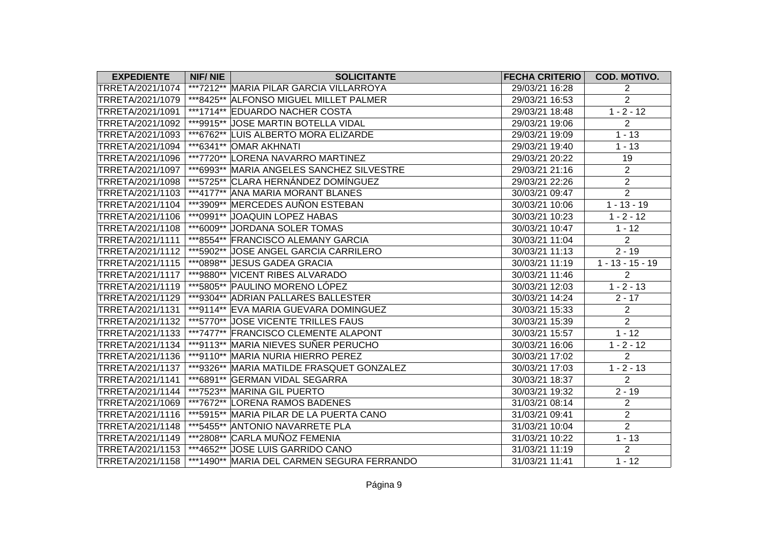| <b>EXPEDIENTE</b> | <b>NIF/NIE</b> | <b>SOLICITANTE</b>                         | <b>FECHA CRITERIO</b> | <b>COD. MOTIVO.</b> |
|-------------------|----------------|--------------------------------------------|-----------------------|---------------------|
| TRRETA/2021/1074  |                | ***7212** MARIA PILAR GARCIA VILLARROYA    | 29/03/21 16:28        | $\overline{2}$      |
| TRRETA/2021/1079  |                | ***8425** ALFONSO MIGUEL MILLET PALMER     | 29/03/21 16:53        | $\overline{2}$      |
| TRRETA/2021/1091  |                | ***1714** EDUARDO NACHER COSTA             | 29/03/21 18:48        | $1 - 2 - 12$        |
| TRRETA/2021/1092  |                | ***9915** JOSE MARTIN BOTELLA VIDAL        | 29/03/21 19:06        | $\overline{2}$      |
| TRRETA/2021/1093  |                | ***6762** LUIS ALBERTO MORA ELIZARDE       | 29/03/21 19:09        | $1 - 13$            |
| TRRETA/2021/1094  |                | ***6341** OMAR AKHNATI                     | 29/03/21 19:40        | $1 - 13$            |
| TRRETA/2021/1096  |                | ***7720** LORENA NAVARRO MARTINEZ          | 29/03/21 20:22        | 19                  |
| TRRETA/2021/1097  |                | ***6993** MARIA ANGELES SANCHEZ SILVESTRE  | 29/03/21 21:16        | $\overline{2}$      |
| TRRETA/2021/1098  |                | ***5725** CLARA HERNÁNDEZ DOMÍNGUEZ        | 29/03/21 22:26        | $\overline{2}$      |
| TRRETA/2021/1103  |                | ***4177** ANA MARIA MORANT BLANES          | 30/03/21 09:47        | $\overline{2}$      |
| TRRETA/2021/1104  |                | ***3909** MERCEDES AUÑON ESTEBAN           | 30/03/21 10:06        | $1 - 13 - 19$       |
| TRRETA/2021/1106  |                | ***0991** JOAQUIN LOPEZ HABAS              | 30/03/21 10:23        | $1 - 2 - 12$        |
| TRRETA/2021/1108  |                | ***6009** JORDANA SOLER TOMAS              | 30/03/21 10:47        | $1 - 12$            |
| TRRETA/2021/1111  |                | ***8554** FRANCISCO ALEMANY GARCIA         | 30/03/21 11:04        | $2^{\circ}$         |
| TRRETA/2021/1112  |                | ***5902** JOSE ANGEL GARCIA CARRILERO      | 30/03/21 11:13        | $2 - 19$            |
| TRRETA/2021/1115  |                | ***0898** JESUS GADEA GRACIA               | 30/03/21 11:19        | $1 - 13 - 15 - 19$  |
| TRRETA/2021/1117  |                | ***9880** VICENT RIBES ALVARADO            | 30/03/21 11:46        | $\overline{2}$      |
| TRRETA/2021/1119  |                | ***5805** PAULINO MORENO LÓPEZ             | 30/03/21 12:03        | $1 - 2 - 13$        |
| TRRETA/2021/1129  |                | ***9304** ADRIAN PALLARES BALLESTER        | 30/03/21 14:24        | $2 - 17$            |
| TRRETA/2021/1131  |                | ***9114** EVA MARIA GUEVARA DOMINGUEZ      | 30/03/21 15:33        | $\overline{2}$      |
| TRRETA/2021/1132  |                | ***5770** JOSE VICENTE TRILLES FAUS        | 30/03/21 15:39        | $\overline{2}$      |
| TRRETA/2021/1133  |                | ***7477** FRANCISCO CLEMENTE ALAPONT       | 30/03/21 15:57        | $1 - 12$            |
| TRRETA/2021/1134  |                | ***9113** MARIA NIEVES SUÑER PERUCHO       | 30/03/21 16:06        | $1 - 2 - 12$        |
| TRRETA/2021/1136  |                | ***9110** MARIA NURIA HIERRO PEREZ         | 30/03/21 17:02        | $\overline{2}$      |
| TRRETA/2021/1137  |                | ***9326** MARIA MATILDE FRASQUET GONZALEZ  | 30/03/21 17:03        | $1 - 2 - 13$        |
| TRRETA/2021/1141  |                | ***6891** GERMAN VIDAL SEGARRA             | 30/03/21 18:37        | $\overline{2}$      |
| TRRETA/2021/1144  |                | ***7523** MARINA GIL PUERTO                | 30/03/21 19:32        | $2 - 19$            |
| TRRETA/2021/1069  |                | ***7672** LORENA RAMOS BADENES             | 31/03/21 08:14        | $\overline{2}$      |
| TRRETA/2021/1116  |                | ***5915** MARIA PILAR DE LA PUERTA CANO    | 31/03/21 09:41        | $\overline{2}$      |
| TRRETA/2021/1148  |                | ***5455** ANTONIO NAVARRETE PLA            | 31/03/21 10:04        | $\overline{2}$      |
| TRRETA/2021/1149  |                | ***2808** CARLA MUÑOZ FEMENIA              | 31/03/21 10:22        | $1 - 13$            |
| TRRETA/2021/1153  |                | ***4652** JOSE LUIS GARRIDO CANO           | 31/03/21 11:19        | $2^{\circ}$         |
| TRRETA/2021/1158  |                | ***1490** MARIA DEL CARMEN SEGURA FERRANDO | 31/03/21 11:41        | $1 - 12$            |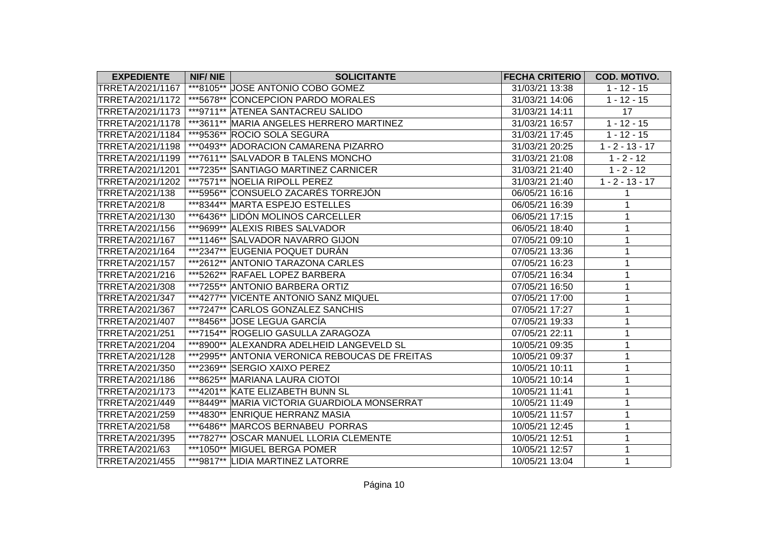| <b>EXPEDIENTE</b>    | <b>NIF/NIE</b> | <b>SOLICITANTE</b>                             | <b>FECHA CRITERIO</b> | COD. MOTIVO.      |
|----------------------|----------------|------------------------------------------------|-----------------------|-------------------|
| TRRETA/2021/1167     |                | ***8105** JOSE ANTONIO COBO GOMEZ              | 31/03/21 13:38        | $1 - 12 - 15$     |
| TRRETA/2021/1172     |                | ***5678** CONCEPCION PARDO MORALES             | 31/03/21 14:06        | $1 - 12 - 15$     |
| TRRETA/2021/1173     |                | ***9711** ATENEA SANTACREU SALIDO              | 31/03/21 14:11        | 17                |
| TRRETA/2021/1178     |                | ***3611** MARIA ANGELES HERRERO MARTINEZ       | 31/03/21 16:57        | $1 - 12 - 15$     |
| TRRETA/2021/1184     |                | ***9536** ROCIO SOLA SEGURA                    | 31/03/21 17:45        | $1 - 12 - 15$     |
| TRRETA/2021/1198     |                | ***0493** ADORACION CAMARENA PIZARRO           | 31/03/21 20:25        | $1 - 2 - 13 - 17$ |
| TRRETA/2021/1199     |                | ***7611** SALVADOR B TALENS MONCHO             | 31/03/21 21:08        | $1 - 2 - 12$      |
| TRRETA/2021/1201     |                | ***7235** SANTIAGO MARTINEZ CARNICER           | 31/03/21 21:40        | $1 - 2 - 12$      |
| TRRETA/2021/1202     |                | ***7571** NOELIA RIPOLL PEREZ                  | 31/03/21 21:40        | $1 - 2 - 13 - 17$ |
| TRRETA/2021/138      |                | ***5956** CONSUELO ZACARÉS TORREJÓN            | 06/05/21 16:16        | 1                 |
| <b>TRRETA/2021/8</b> |                | ***8344** MARTA ESPEJO ESTELLES                | 06/05/21 16:39        | 1                 |
| TRRETA/2021/130      |                | ***6436** LIDÓN MOLINOS CARCELLER              | 06/05/21 17:15        | 1                 |
| TRRETA/2021/156      |                | ***9699** ALEXIS RIBES SALVADOR                | 06/05/21 18:40        | $\mathbf{1}$      |
| TRRETA/2021/167      |                | ***1146** SALVADOR NAVARRO GIJON               | 07/05/21 09:10        | $\mathbf{1}$      |
| TRRETA/2021/164      |                | ***2347** EUGENIA POQUET DURÁN                 | 07/05/21 13:36        | $\mathbf{1}$      |
| TRRETA/2021/157      |                | ***2612** ANTONIO TARAZONA CARLES              | 07/05/21 16:23        | $\mathbf{1}$      |
| TRRETA/2021/216      |                | ***5262** RAFAEL LOPEZ BARBERA                 | 07/05/21 16:34        | $\mathbf{1}$      |
| TRRETA/2021/308      |                | ***7255** ANTONIO BARBERA ORTIZ                | 07/05/21 16:50        | $\mathbf 1$       |
| TRRETA/2021/347      |                | ***4277** VICENTE ANTONIO SANZ MIQUEL          | 07/05/21 17:00        | $\mathbf{1}$      |
| TRRETA/2021/367      |                | ***7247** CARLOS GONZALEZ SANCHIS              | 07/05/21 17:27        | $\mathbf{1}$      |
| TRRETA/2021/407      |                | ***8456** JOSE LEGUA GARCÍA                    | 07/05/21 19:33        | 1                 |
| TRRETA/2021/251      |                | ***7154** ROGELIO GASULLA ZARAGOZA             | 07/05/21 22:11        | 1                 |
| TRRETA/2021/204      |                | ***8900** ALEXANDRA ADELHEID LANGEVELD SL      | 10/05/21 09:35        | $\mathbf{1}$      |
| TRRETA/2021/128      |                | ***2995** ANTONIA VERONICA REBOUCAS DE FREITAS | 10/05/21 09:37        | $\mathbf{1}$      |
| TRRETA/2021/350      |                | ***2369** SERGIO XAIXO PEREZ                   | 10/05/21 10:11        | $\mathbf{1}$      |
| TRRETA/2021/186      |                | ***8625** MARIANA LAURA CIOTOI                 | 10/05/21 10:14        | $\mathbf{1}$      |
| TRRETA/2021/173      |                | ***4201** KATE ELIZABETH BUNN SL               | 10/05/21 11:41        | $\mathbf{1}$      |
| TRRETA/2021/449      |                | ***8449** MARIA VICTORIA GUARDIOLA MONSERRAT   | 10/05/21 11:49        | $\mathbf{1}$      |
| TRRETA/2021/259      |                | ***4830** ENRIQUE HERRANZ MASIA                | 10/05/21 11:57        | $\mathbf{1}$      |
| TRRETA/2021/58       |                | ***6486** MARCOS BERNABEU PORRAS               | 10/05/21 12:45        | $\mathbf{1}$      |
| TRRETA/2021/395      |                | ***7827** OSCAR MANUEL LLORIA CLEMENTE         | 10/05/21 12:51        | $\mathbf{1}$      |
| TRRETA/2021/63       |                | ***1050** MIGUEL BERGA POMER                   | 10/05/21 12:57        | $\mathbf 1$       |
| TRRETA/2021/455      |                | ***9817** LIDIA MARTINEZ LATORRE               | 10/05/21 13:04        | $\mathbf{1}$      |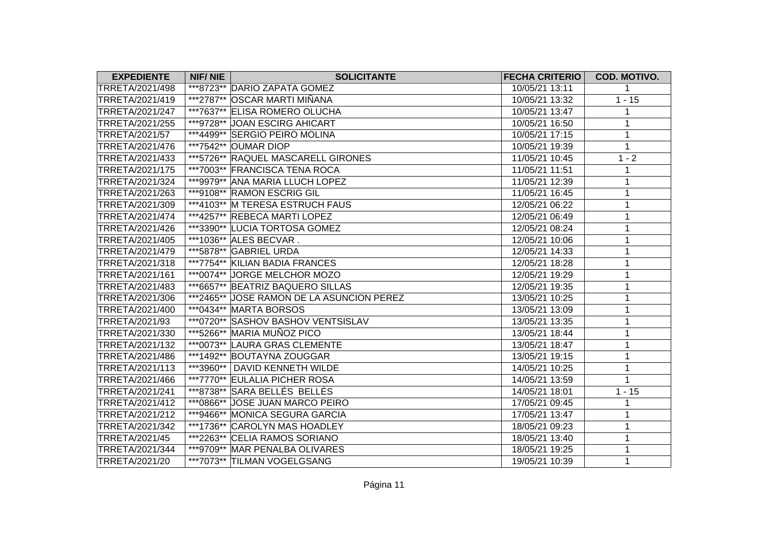| <b>EXPEDIENTE</b>     | NIF/NIE | <b>SOLICITANTE</b>                        | <b>FECHA CRITERIO</b> | <b>COD. MOTIVO.</b> |
|-----------------------|---------|-------------------------------------------|-----------------------|---------------------|
| TRRETA/2021/498       |         | ***8723** DARIO ZAPATA GOMEZ              | 10/05/21 13:11        | $\mathbf{1}$        |
| TRRETA/2021/419       |         | ***2787** OSCAR MARTI MIÑANA              | 10/05/21 13:32        | $1 - 15$            |
| TRRETA/2021/247       |         | ***7637** ELISA ROMERO OLUCHA             | 10/05/21 13:47        | $\mathbf{1}$        |
| TRRETA/2021/255       |         | ***9728** JOAN ESCIRG AHICART             | 10/05/21 16:50        | $\mathbf{1}$        |
| <b>TRRETA/2021/57</b> |         | ***4499** SERGIO PEIRO MOLINA             | 10/05/21 17:15        | $\mathbf{1}$        |
| TRRETA/2021/476       |         | ***7542** OUMAR DIOP                      | 10/05/21 19:39        | $\mathbf{1}$        |
| TRRETA/2021/433       |         | ***5726** RAQUEL MASCARELL GIRONES        | 11/05/21 10:45        | $1 - 2$             |
| TRRETA/2021/175       |         | ***7003** FRANCISCA TENA ROCA             | 11/05/21 11:51        | $\mathbf{1}$        |
| TRRETA/2021/324       |         | ***9979** ANA MARIA LLUCH LOPEZ           | 11/05/21 12:39        | $\mathbf{1}$        |
| TRRETA/2021/263       |         | ***9108** RAMON ESCRIG GIL                | 11/05/21 16:45        | $\mathbf 1$         |
| TRRETA/2021/309       |         | ***4103** M TERESA ESTRUCH FAUS           | 12/05/21 06:22        | 1                   |
| TRRETA/2021/474       |         | ***4257** REBECA MARTI LOPEZ              | 12/05/21 06:49        | 1                   |
| TRRETA/2021/426       |         | ***3390** LUCIA TORTOSA GOMEZ             | 12/05/21 08:24        | 1                   |
| TRRETA/2021/405       |         | ***1036** ALES BECVAR.                    | 12/05/21 10:06        | $\mathbf{1}$        |
| TRRETA/2021/479       |         | ***5878** GABRIEL URDA                    | 12/05/21 14:33        | $\mathbf{1}$        |
| TRRETA/2021/318       |         | ***7754** KILIAN BADIA FRANCES            | 12/05/21 18:28        | $\mathbf 1$         |
| TRRETA/2021/161       |         | ***0074** JORGE MELCHOR MOZO              | 12/05/21 19:29        | $\mathbf 1$         |
| TRRETA/2021/483       |         | ***6657** BEATRIZ BAQUERO SILLAS          | 12/05/21 19:35        | 1                   |
| TRRETA/2021/306       |         | ***2465** JOSE RAMON DE LA ASUNCION PEREZ | 13/05/21 10:25        | $\mathbf{1}$        |
| TRRETA/2021/400       |         | ***0434** MARTA BORSOS                    | 13/05/21 13:09        | $\mathbf 1$         |
| TRRETA/2021/93        |         | ***0720** SASHOV BASHOV VENTSISLAV        | 13/05/21 13:35        | 1                   |
| TRRETA/2021/330       |         | ***5266** MARIA MUÑOZ PICO                | 13/05/21 18:44        | $\mathbf{1}$        |
| TRRETA/2021/132       |         | ***0073** LAURA GRAS CLEMENTE             | 13/05/21 18:47        | 1                   |
| TRRETA/2021/486       |         | ***1492** BOUTAYNA ZOUGGAR                | 13/05/21 19:15        | $\mathbf{1}$        |
| TRRETA/2021/113       |         | ***3960** DAVID KENNETH WILDE             | 14/05/21 10:25        | $\mathbf{1}$        |
| TRRETA/2021/466       |         | ***7770** EULALIA PICHER ROSA             | 14/05/21 13:59        | 1                   |
| TRRETA/2021/241       |         | ***8738** SARA BELLÉS BELLÉS              | 14/05/21 18:01        | $1 - 15$            |
| TRRETA/2021/412       |         | ***0866** JOSE JUAN MARCO PEIRO           | 17/05/21 09:45        | $\mathbf 1$         |
| TRRETA/2021/212       |         | ***9466** MONICA SEGURA GARCIA            | 17/05/21 13:47        | $\mathbf{1}$        |
| TRRETA/2021/342       |         | ***1736** CAROLYN MAS HOADLEY             | 18/05/21 09:23        | 1                   |
| TRRETA/2021/45        |         | ***2263** CELIA RAMOS SORIANO             | 18/05/21 13:40        | 1                   |
| TRRETA/2021/344       |         | ***9709** MAR PENALBA OLIVARES            | 18/05/21 19:25        | $\mathbf 1$         |
| TRRETA/2021/20        |         | ***7073** TILMAN VOGELGSANG               | 19/05/21 10:39        | $\mathbf 1$         |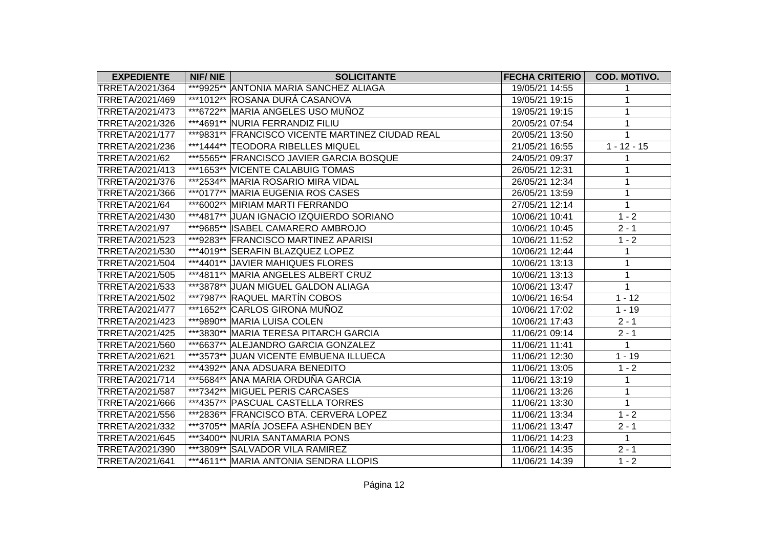| <b>EXPEDIENTE</b> | <b>NIF/NIE</b> | <b>SOLICITANTE</b>                               | <b>FECHA CRITERIO</b> | COD. MOTIVO.  |
|-------------------|----------------|--------------------------------------------------|-----------------------|---------------|
| TRRETA/2021/364   |                | ***9925** ANTONIA MARIA SANCHEZ ALIAGA           | 19/05/21 14:55        | 1             |
| TRRETA/2021/469   |                | ***1012** ROSANA DURÁ CASANOVA                   | 19/05/21 19:15        | $\mathbf{1}$  |
| TRRETA/2021/473   |                | ***6722** MARIA ANGELES USO MUÑOZ                | 19/05/21 19:15        | 1             |
| TRRETA/2021/326   |                | ***4691** NURIA FERRANDIZ FILIU                  | 20/05/21 07:54        | $\mathbf{1}$  |
| TRRETA/2021/177   |                | ***9831** FRANCISCO VICENTE MARTINEZ CIUDAD REAL | 20/05/21 13:50        | $\mathbf{1}$  |
| TRRETA/2021/236   |                | ***1444** TEODORA RIBELLES MIQUEL                | 21/05/21 16:55        | $1 - 12 - 15$ |
| TRRETA/2021/62    |                | ***5565** FRANCISCO JAVIER GARCIA BOSQUE         | 24/05/21 09:37        | 1             |
| TRRETA/2021/413   |                | ***1653** VICENTE CALABUIG TOMAS                 | 26/05/21 12:31        | $\mathbf{1}$  |
| TRRETA/2021/376   |                | ***2534** MARIA ROSARIO MIRA VIDAL               | 26/05/21 12:34        | $\mathbf{1}$  |
| TRRETA/2021/366   |                | ***0177** MARIA EUGENIA ROS CASES                | 26/05/21 13:59        | $\mathbf{1}$  |
| TRRETA/2021/64    |                | ***6002** MIRIAM MARTI FERRANDO                  | 27/05/21 12:14        | $\mathbf{1}$  |
| TRRETA/2021/430   |                | ***4817** JUAN IGNACIO IZQUIERDO SORIANO         | 10/06/21 10:41        | $1 - 2$       |
| TRRETA/2021/97    |                | ***9685** ISABEL CAMARERO AMBROJO                | 10/06/21 10:45        | $2 - 1$       |
| TRRETA/2021/523   |                | ***9283** FRANCISCO MARTINEZ APARISI             | 10/06/21 11:52        | $1 - 2$       |
| TRRETA/2021/530   |                | ***4019** SERAFIN BLAZQUEZ LOPEZ                 | 10/06/21 12:44        | $\mathbf{1}$  |
| TRRETA/2021/504   |                | ***4401** JAVIER MAHIQUES FLORES                 | 10/06/21 13:13        | $\mathbf{1}$  |
| TRRETA/2021/505   |                | ***4811** MARIA ANGELES ALBERT CRUZ              | 10/06/21 13:13        | $\mathbf{1}$  |
| TRRETA/2021/533   |                | ***3878** JUAN MIGUEL GALDON ALIAGA              | 10/06/21 13:47        | $\mathbf{1}$  |
| TRRETA/2021/502   |                | ***7987** RAQUEL MARTÍN COBOS                    | 10/06/21 16:54        | $1 - 12$      |
| TRRETA/2021/477   |                | ***1652** CARLOS GIRONA MUÑOZ                    | 10/06/21 17:02        | $1 - 19$      |
| TRRETA/2021/423   |                | ***9890** MARIA LUISA COLEN                      | 10/06/21 17:43        | $2 - 1$       |
| TRRETA/2021/425   |                | ***3830** MARIA TERESA PITARCH GARCIA            | 11/06/21 09:14        | $2 - 1$       |
| TRRETA/2021/560   |                | ***6637** ALEJANDRO GARCIA GONZALEZ              | 11/06/21 11:41        | $\mathbf{1}$  |
| TRRETA/2021/621   |                | ***3573** JUAN VICENTE EMBUENA ILLUECA           | 11/06/21 12:30        | $1 - 19$      |
| TRRETA/2021/232   |                | ***4392** ANA ADSUARA BENEDITO                   | 11/06/21 13:05        | $1 - 2$       |
| TRRETA/2021/714   |                | ***5684** ANA MARIA ORDUÑA GARCIA                | 11/06/21 13:19        | $\mathbf{1}$  |
| TRRETA/2021/587   |                | ***7342** MIGUEL PERIS CARCASES                  | 11/06/21 13:26        | $\mathbf{1}$  |
| TRRETA/2021/666   |                | ***4357** PASCUAL CASTELLA TORRES                | 11/06/21 13:30        | $\mathbf{1}$  |
| TRRETA/2021/556   |                | ***2836** FRANCISCO BTA. CERVERA LOPEZ           | 11/06/21 13:34        | $1 - 2$       |
| TRRETA/2021/332   |                | ***3705** MARÍA JOSEFA ASHENDEN BEY              | 11/06/21 13:47        | $2 - 1$       |
| TRRETA/2021/645   |                | ***3400** NURIA SANTAMARIA PONS                  | 11/06/21 14:23        | $\mathbf{1}$  |
| TRRETA/2021/390   |                | ***3809** SALVADOR VILA RAMIREZ                  | 11/06/21 14:35        | $2 - 1$       |
| TRRETA/2021/641   |                | ***4611** MARIA ANTONIA SENDRA LLOPIS            | 11/06/21 14:39        | $1 - 2$       |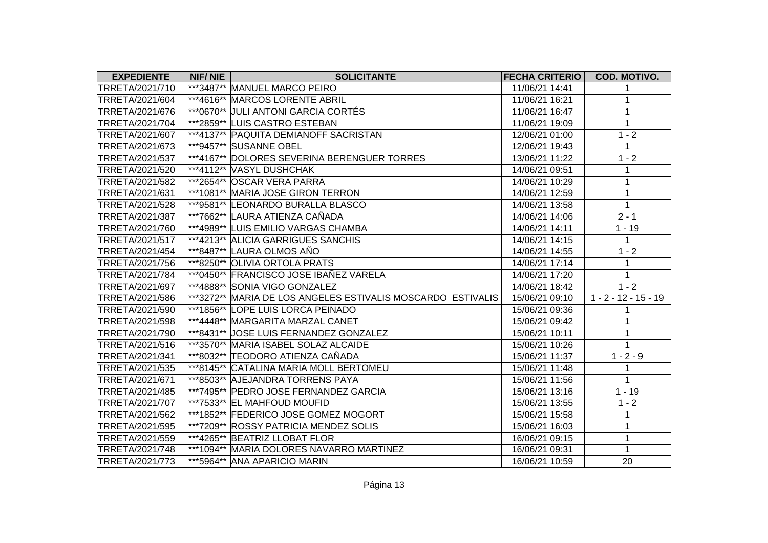| <b>EXPEDIENTE</b> | <b>NIF/NIE</b> | <b>SOLICITANTE</b>                                          | <b>FECHA CRITERIO</b> | COD. MOTIVO.           |
|-------------------|----------------|-------------------------------------------------------------|-----------------------|------------------------|
| TRRETA/2021/710   |                | ***3487** MANUEL MARCO PEIRO                                | 11/06/21 14:41        | 1                      |
| TRRETA/2021/604   |                | ***4616** MARCOS LORENTE ABRIL                              | 11/06/21 16:21        | 1                      |
| TRRETA/2021/676   |                | ***0670** JULI ANTONI GARCIA CORTÉS                         | 11/06/21 16:47        | $\mathbf{1}$           |
| TRRETA/2021/704   |                | ***2859** LUIS CASTRO ESTEBAN                               | 11/06/21 19:09        | $\mathbf{1}$           |
| TRRETA/2021/607   |                | ***4137** PAQUITA DEMIANOFF SACRISTAN                       | 12/06/21 01:00        | $1 - 2$                |
| TRRETA/2021/673   |                | ***9457** SUSANNE OBEL                                      | 12/06/21 19:43        | $\mathbf{1}$           |
| TRRETA/2021/537   |                | ***4167** DOLORES SEVERINA BERENGUER TORRES                 | 13/06/21 11:22        | $1 - 2$                |
| TRRETA/2021/520   |                | ***4112** VASYL DUSHCHAK                                    | 14/06/21 09:51        | $\mathbf{1}$           |
| TRRETA/2021/582   |                | ***2654** OSCAR VERA PARRA                                  | 14/06/21 10:29        | $\mathbf{1}$           |
| TRRETA/2021/631   |                | ***1081** MARIA JOSE GIRON TERRON                           | 14/06/21 12:59        | $\mathbf{1}$           |
| TRRETA/2021/528   |                | ***9581** LEONARDO BURALLA BLASCO                           | 14/06/21 13:58        | $\mathbf{1}$           |
| TRRETA/2021/387   |                | ***7662** LAURA ATIENZA CAÑADA                              | 14/06/21 14:06        | $2 - 1$                |
| TRRETA/2021/760   |                | ***4989** LUIS EMILIO VARGAS CHAMBA                         | 14/06/21 14:11        | $1 - 19$               |
| TRRETA/2021/517   |                | ***4213** ALICIA GARRIGUES SANCHIS                          | 14/06/21 14:15        | $\mathbf{1}$           |
| TRRETA/2021/454   |                | ***8487** LAURA OLMOS AÑO                                   | 14/06/21 14:55        | $1 - 2$                |
| TRRETA/2021/756   |                | ***8250** OLIVIA ORTOLA PRATS                               | 14/06/21 17:14        | $\mathbf{1}$           |
| TRRETA/2021/784   |                | ***0450** FRANCISCO JOSE IBAÑEZ VARELA                      | 14/06/21 17:20        | $\mathbf{1}$           |
| TRRETA/2021/697   |                | ***4888** SONIA VIGO GONZALEZ                               | 14/06/21 18:42        | $1 - 2$                |
| TRRETA/2021/586   |                | ***3272** MARIA DE LOS ANGELES ESTIVALIS MOSCARDO ESTIVALIS | 15/06/21 09:10        | $1 - 2 - 12 - 15 - 19$ |
| TRRETA/2021/590   |                | ***1856** LOPE LUIS LORCA PEINADO                           | 15/06/21 09:36        | 1                      |
| TRRETA/2021/598   |                | ***4448** MARGARITA MARZAL CANET                            | 15/06/21 09:42        | 1                      |
| TRRETA/2021/790   |                | ***8431** JOSE LUIS FERNANDEZ GONZALEZ                      | 15/06/21 10:11        | $\mathbf{1}$           |
| TRRETA/2021/516   |                | ***3570** MARIA ISABEL SOLAZ ALCAIDE                        | 15/06/21 10:26        | $\mathbf{1}$           |
| TRRETA/2021/341   |                | ***8032** TEODORO ATIENZA CAÑADA                            | 15/06/21 11:37        | $1 - 2 - 9$            |
| TRRETA/2021/535   |                | ***8145** CATALINA MARIA MOLL BERTOMEU                      | 15/06/21 11:48        | $\mathbf 1$            |
| TRRETA/2021/671   |                | ***8503** AJEJANDRA TORRENS PAYA                            | 15/06/21 11:56        | 1                      |
| TRRETA/2021/485   |                | ***7495** PEDRO JOSE FERNANDEZ GARCIA                       | 15/06/21 13:16        | $1 - 19$               |
| TRRETA/2021/707   |                | ***7533** EL MAHFOUD MOUFID                                 | 15/06/21 13:55        | $1 - 2$                |
| TRRETA/2021/562   |                | ***1852** FEDERICO JOSE GOMEZ MOGORT                        | 15/06/21 15:58        | $\mathbf{1}$           |
| TRRETA/2021/595   |                | ***7209** ROSSY PATRICIA MENDEZ SOLIS                       | 15/06/21 16:03        | $\mathbf{1}$           |
| TRRETA/2021/559   |                | ***4265** BEATRIZ LLOBAT FLOR                               | 16/06/21 09:15        | 1                      |
| TRRETA/2021/748   |                | ***1094** MARIA DOLORES NAVARRO MARTINEZ                    | 16/06/21 09:31        | $\mathbf{1}$           |
| TRRETA/2021/773   |                | ***5964** ANA APARICIO MARIN                                | 16/06/21 10:59        | 20                     |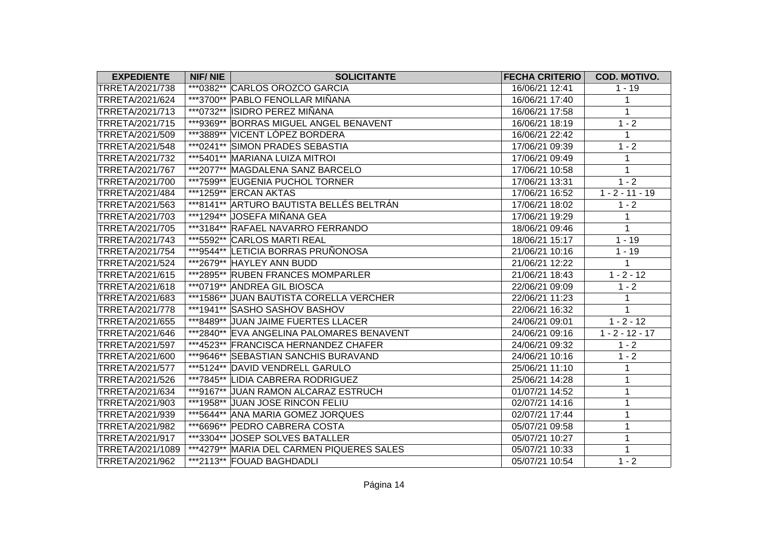| <b>EXPEDIENTE</b> | <b>NIF/NIE</b> | <b>SOLICITANTE</b>                        | <b>FECHA CRITERIO</b> | COD. MOTIVO.      |
|-------------------|----------------|-------------------------------------------|-----------------------|-------------------|
| TRRETA/2021/738   |                | ***0382** CARLOS OROZCO GARCIA            | 16/06/21 12:41        | $1 - 19$          |
| TRRETA/2021/624   |                | ***3700** PABLO FENOLLAR MIÑANA           | 16/06/21 17:40        | $\mathbf{1}$      |
| TRRETA/2021/713   |                | ***0732** ISIDRO PEREZ MIÑANA             | 16/06/21 17:58        | $\mathbf{1}$      |
| TRRETA/2021/715   |                | ***9369** BORRAS MIGUEL ANGEL BENAVENT    | 16/06/21 18:19        | $1 - 2$           |
| TRRETA/2021/509   |                | ***3889** VICENT LÓPEZ BORDERA            | 16/06/21 22:42        | $\mathbf{1}$      |
| TRRETA/2021/548   |                | ***0241** SIMON PRADES SEBASTIA           | 17/06/21 09:39        | $1 - 2$           |
| TRRETA/2021/732   |                | ***5401** MARIANA LUIZA MITROI            | 17/06/21 09:49        | $\mathbf{1}$      |
| TRRETA/2021/767   |                | ***2077** MAGDALENA SANZ BARCELO          | 17/06/21 10:58        | $\mathbf{1}$      |
| TRRETA/2021/700   |                | ***7599** EUGENIA PUCHOL TORNER           | 17/06/21 13:31        | $1 - 2$           |
| TRRETA/2021/484   |                | ***1259** ERCAN AKTAS                     | 17/06/21 16:52        | $1 - 2 - 11 - 19$ |
| TRRETA/2021/563   |                | ***8141** ARTURO BAUTISTA BELLÉS BELTRÁN  | 17/06/21 18:02        | $1 - 2$           |
| TRRETA/2021/703   |                | ***1294** JOSEFA MIÑANA GEA               | 17/06/21 19:29        | $\mathbf{1}$      |
| TRRETA/2021/705   |                | ***3184** RAFAEL NAVARRO FERRANDO         | 18/06/21 09:46        | $\mathbf{1}$      |
| TRRETA/2021/743   |                | ***5592** CARLOS MARTI REAL               | 18/06/21 15:17        | $1 - 19$          |
| TRRETA/2021/754   |                | ***9544** LETICIA BORRAS PRUÑONOSA        | 21/06/21 10:16        | $1 - 19$          |
| TRRETA/2021/524   |                | ***2679** HAYLEY ANN BUDD                 | 21/06/21 12:22        | $\mathbf{1}$      |
| TRRETA/2021/615   |                | ***2895** RUBEN FRANCES MOMPARLER         | 21/06/21 18:43        | $1 - 2 - 12$      |
| TRRETA/2021/618   |                | ***0719** ANDREA GIL BIOSCA               | 22/06/21 09:09        | $1 - 2$           |
| TRRETA/2021/683   |                | ***1586** JUAN BAUTISTA CORELLA VERCHER   | 22/06/21 11:23        | $\mathbf{1}$      |
| TRRETA/2021/778   |                | ***1941** SASHO SASHOV BASHOV             | 22/06/21 16:32        | $\mathbf{1}$      |
| TRRETA/2021/655   |                | ***8489** JUAN JAIME FUERTES LLACER       | 24/06/21 09:01        | $1 - 2 - 12$      |
| TRRETA/2021/646   |                | ***2840** EVA ANGELINA PALOMARES BENAVENT | 24/06/21 09:16        | $1 - 2 - 12 - 17$ |
| TRRETA/2021/597   |                | ***4523** FRANCISCA HERNANDEZ CHAFER      | 24/06/21 09:32        | $1 - 2$           |
| TRRETA/2021/600   |                | ***9646** SEBASTIAN SANCHIS BURAVAND      | 24/06/21 10:16        | $1 - 2$           |
| TRRETA/2021/577   |                | ***5124** DAVID VENDRELL GARULO           | 25/06/21 11:10        | $\mathbf{1}$      |
| TRRETA/2021/526   |                | ***7845** LIDIA CABRERA RODRIGUEZ         | 25/06/21 14:28        | $\mathbf{1}$      |
| TRRETA/2021/634   |                | ***9167** JUAN RAMON ALCARAZ ESTRUCH      | 01/07/21 14:52        | $\mathbf 1$       |
| TRRETA/2021/903   |                | ***1958** JUAN JOSE RINCON FELIU          | 02/07/21 14:16        | $\mathbf{1}$      |
| TRRETA/2021/939   |                | ***5644** ANA MARIA GOMEZ JORQUES         | 02/07/21 17:44        | $\mathbf{1}$      |
| TRRETA/2021/982   |                | ***6696** PEDRO CABRERA COSTA             | 05/07/21 09:58        | 1                 |
| TRRETA/2021/917   |                | ***3304** JOSEP SOLVES BATALLER           | 05/07/21 10:27        | $\mathbf 1$       |
| TRRETA/2021/1089  |                | ***4279** MARIA DEL CARMEN PIQUERES SALES | 05/07/21 10:33        | $\mathbf 1$       |
| TRRETA/2021/962   |                | ***2113** FOUAD BAGHDADLI                 | 05/07/21 10:54        | $1 - 2$           |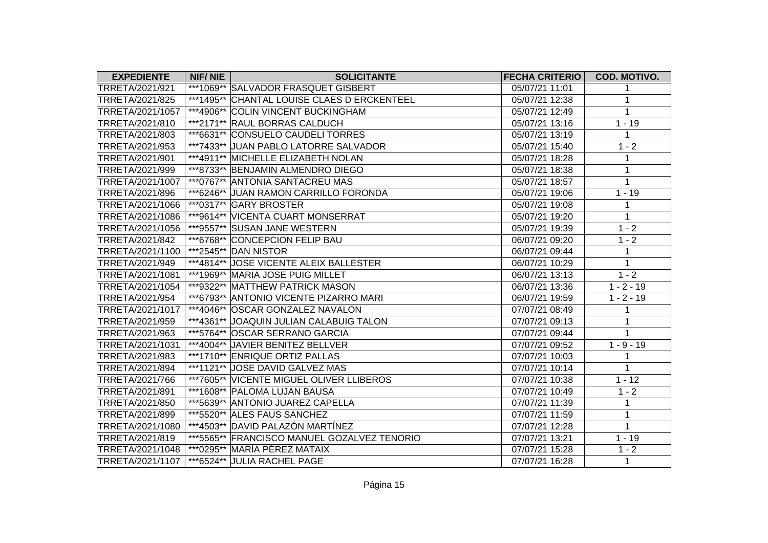| <b>EXPEDIENTE</b> | <b>NIF/NIE</b> | <b>SOLICITANTE</b>                          | <b>FECHA CRITERIO</b> | COD. MOTIVO. |
|-------------------|----------------|---------------------------------------------|-----------------------|--------------|
| TRRETA/2021/921   |                | ***1069** SALVADOR FRASQUET GISBERT         | 05/07/21 11:01        | 1            |
| TRRETA/2021/825   |                | ***1495** CHANTAL LOUISE CLAES D ERCKENTEEL | 05/07/21 12:38        | 1            |
| TRRETA/2021/1057  |                | ***4906** COLIN VINCENT BUCKINGHAM          | 05/07/21 12:49        | $\mathbf{1}$ |
| TRRETA/2021/810   |                | ***2171** RAUL BORRAS CALDUCH               | 05/07/21 13:16        | $1 - 19$     |
| TRRETA/2021/803   |                | ***6631** CONSUELO CAUDELI TORRES           | 05/07/21 13:19        | $\mathbf{1}$ |
| TRRETA/2021/953   |                | ***7433** JUAN PABLO LATORRE SALVADOR       | 05/07/21 15:40        | $1 - 2$      |
| TRRETA/2021/901   |                | ***4911** MICHELLE ELIZABETH NOLAN          | 05/07/21 18:28        | 1            |
| TRRETA/2021/999   |                | ***8733** BENJAMIN ALMENDRO DIEGO           | 05/07/21 18:38        | $\mathbf{1}$ |
| TRRETA/2021/1007  |                | ***0767** ANTONIA SANTACREU MAS             | 05/07/21 18:57        | $\mathbf{1}$ |
| TRRETA/2021/896   |                | ***6246** JUAN RAMON CARRILLO FORONDA       | 05/07/21 19:06        | $1 - 19$     |
| TRRETA/2021/1066  |                | ***0317** GARY BROSTER                      | 05/07/21 19:08        | $\mathbf{1}$ |
| TRRETA/2021/1086  |                | ***9614** VICENTA CUART MONSERRAT           | 05/07/21 19:20        | $\mathbf{1}$ |
| TRRETA/2021/1056  |                | ***9557** SUSAN JANE WESTERN                | 05/07/21 19:39        | $1 - 2$      |
| TRRETA/2021/842   |                | ***6768** CONCEPCION FELIP BAU              | 06/07/21 09:20        | $1 - 2$      |
| TRRETA/2021/1100  |                | ***2545** DAN NISTOR                        | 06/07/21 09:44        | $\mathbf{1}$ |
| TRRETA/2021/949   |                | ***4814** JOSE VICENTE ALEIX BALLESTER      | 06/07/21 10:29        | $\mathbf{1}$ |
| TRRETA/2021/1081  |                | ***1969** MARIA JOSE PUIG MILLET            | 06/07/21 13:13        | $1 - 2$      |
| TRRETA/2021/1054  |                | ***9322** MATTHEW PATRICK MASON             | 06/07/21 13:36        | $1 - 2 - 19$ |
| TRRETA/2021/954   |                | ***6793** ANTONIO VICENTE PIZARRO MARI      | 06/07/21 19:59        | $1 - 2 - 19$ |
| TRRETA/2021/1017  |                | ***4046** OSCAR GONZALEZ NAVALON            | 07/07/21 08:49        | 1            |
| TRRETA/2021/959   |                | ***4361** JOAQUIN JULIAN CALABUIG TALON     | 07/07/21 09:13        | 1            |
| TRRETA/2021/963   |                | ***5764** OSCAR SERRANO GARCIA              | 07/07/21 09:44        | $\mathbf{1}$ |
| TRRETA/2021/1031  |                | ***4004** JAVIER BENITEZ BELLVER            | 07/07/21 09:52        | $1 - 9 - 19$ |
| TRRETA/2021/983   |                | ***1710** ENRIQUE ORTIZ PALLAS              | 07/07/21 10:03        | 1            |
| TRRETA/2021/894   |                | ***1121** JOSE DAVID GALVEZ MAS             | 07/07/21 10:14        | $\mathbf{1}$ |
| TRRETA/2021/766   |                | ***7605** VICENTE MIGUEL OLIVER LLIBEROS    | 07/07/21 10:38        | $1 - 12$     |
| TRRETA/2021/891   |                | ***1608** PALOMA LUJAN BAUSA                | 07/07/21 10:49        | $1 - 2$      |
| TRRETA/2021/850   |                | ***5639** ANTONIO JUAREZ CAPELLA            | 07/07/21 11:39        | $\mathbf{1}$ |
| TRRETA/2021/899   |                | ***5520** ALES FAUS SANCHEZ                 | 07/07/21 11:59        | $\mathbf{1}$ |
| TRRETA/2021/1080  |                | ***4503** DAVID PALAZÓN MARTÍNEZ            | 07/07/21 12:28        | $\mathbf{1}$ |
| TRRETA/2021/819   |                | ***5565** FRANCISCO MANUEL GOZALVEZ TENORIO | 07/07/21 13:21        | $1 - 19$     |
| TRRETA/2021/1048  |                | ***0295** MARÍA PÉREZ MATAIX                | 07/07/21 15:28        | $1 - 2$      |
| TRRETA/2021/1107  |                | ***6524** JULIA RACHEL PAGE                 | 07/07/21 16:28        | $\mathbf{1}$ |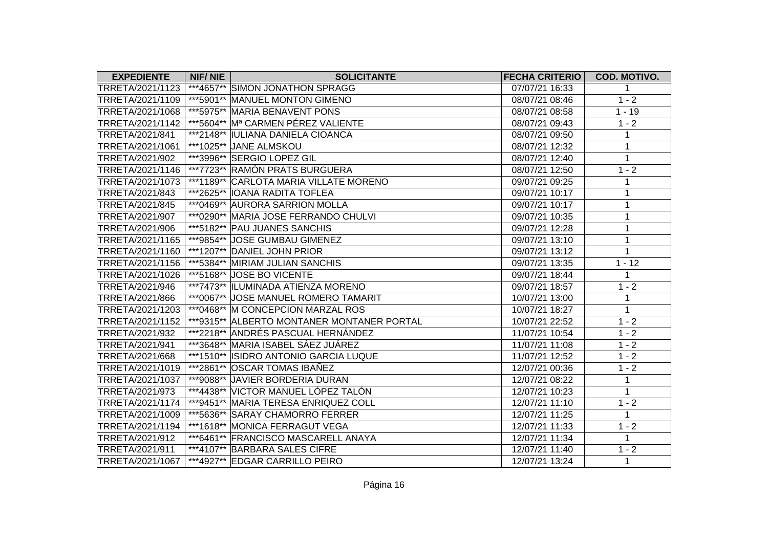| <b>EXPEDIENTE</b> | NIF/NIE | <b>SOLICITANTE</b>                         | <b>FECHA CRITERIO</b> | <b>COD. MOTIVO.</b> |
|-------------------|---------|--------------------------------------------|-----------------------|---------------------|
| TRRETA/2021/1123  |         | ***4657** SIMON JONATHON SPRAGG            | 07/07/21 16:33        | $\mathbf{1}$        |
| TRRETA/2021/1109  |         | ***5901** MANUEL MONTON GIMENO             | 08/07/21 08:46        | $1 - 2$             |
| TRRETA/2021/1068  |         | ***5975** MARIA BENAVENT PONS              | 08/07/21 08:58        | $1 - 19$            |
| TRRETA/2021/1142  |         | ***5604** Ma CARMEN PÉREZ VALIENTE         | 08/07/21 09:43        | $1 - 2$             |
| TRRETA/2021/841   |         | ***2148** IIULIANA DANIELA CIOANCA         | 08/07/21 09:50        | $\mathbf{1}$        |
| TRRETA/2021/1061  |         | ***1025** JANE ALMSKOU                     | 08/07/21 12:32        | $\mathbf{1}$        |
| TRRETA/2021/902   |         | ***3996** SERGIO LOPEZ GIL                 | 08/07/21 12:40        | $\mathbf{1}$        |
| TRRETA/2021/1146  |         | ***7723** RAMÓN PRATS BURGUERA             | 08/07/21 12:50        | $1 - 2$             |
| TRRETA/2021/1073  |         | ***1189** CARLOTA MARIA VILLATE MORENO     | 09/07/21 09:25        | $\mathbf{1}$        |
| TRRETA/2021/843   |         | ***2625**  IOANA RADITA TOFLEA             | 09/07/21 10:17        | $\mathbf{1}$        |
| TRRETA/2021/845   |         | ***0469** AURORA SARRION MOLLA             | 09/07/21 10:17        | $\mathbf{1}$        |
| TRRETA/2021/907   |         | ***0290** MARIA JOSE FERRANDO CHULVI       | 09/07/21 10:35        | $\mathbf{1}$        |
| TRRETA/2021/906   |         | ***5182** PAU JUANES SANCHIS               | 09/07/21 12:28        | $\mathbf{1}$        |
| TRRETA/2021/1165  |         | ***9854** JOSE GUMBAU GIMENEZ              | 09/07/21 13:10        | $\mathbf{1}$        |
| TRRETA/2021/1160  |         | ***1207** DANIEL JOHN PRIOR                | 09/07/21 13:12        | $\mathbf{1}$        |
| TRRETA/2021/1156  |         | ***5384** MIRIAM JULIAN SANCHIS            | 09/07/21 13:35        | $1 - 12$            |
| TRRETA/2021/1026  |         | ***5168** JOSE BO VICENTE                  | 09/07/21 18:44        | $\mathbf{1}$        |
| TRRETA/2021/946   |         | ***7473** ILUMINADA ATIENZA MORENO         | 09/07/21 18:57        | $1 - 2$             |
| TRRETA/2021/866   |         | ***0067** JOSE MANUEL ROMERO TAMARIT       | 10/07/21 13:00        | $\mathbf{1}$        |
| TRRETA/2021/1203  |         | ***0468** M CONCEPCION MARZAL ROS          | 10/07/21 18:27        | $\mathbf{1}$        |
| TRRETA/2021/1152  |         | ***9315** ALBERTO MONTANER MONTANER PORTAL | 10/07/21 22:52        | $1 - 2$             |
| TRRETA/2021/932   |         | ***2218** ANDRÉS PASCUAL HERNÁNDEZ         | 11/07/21 10:54        | $1 - 2$             |
| TRRETA/2021/941   |         | ***3648** MARIA ISABEL SÁEZ JUÁREZ         | 11/07/21 11:08        | $1 - 2$             |
| TRRETA/2021/668   |         | ***1510**  ISIDRO ANTONIO GARCIA LUQUE     | 11/07/21 12:52        | $1 - 2$             |
| TRRETA/2021/1019  |         | ***2861** OSCAR TOMAS IBAÑEZ               | 12/07/21 00:36        | $1 - 2$             |
| TRRETA/2021/1037  |         | ***9088** JAVIER BORDERIA DURAN            | 12/07/21 08:22        | $\mathbf{1}$        |
| TRRETA/2021/973   |         | ***4438** VICTOR MANUEL LÓPEZ TALÓN        | 12/07/21 10:23        | $\mathbf{1}$        |
| TRRETA/2021/1174  |         | ***9451** MARIA TERESA ENRIQUEZ COLL       | 12/07/21 11:10        | $1 - 2$             |
| TRRETA/2021/1009  |         | ***5636** SARAY CHAMORRO FERRER            | 12/07/21 11:25        | $\mathbf{1}$        |
| TRRETA/2021/1194  |         | ***1618** MONICA FERRAGUT VEGA             | 12/07/21 11:33        | $1 - 2$             |
| TRRETA/2021/912   |         | ***6461** FRANCISCO MASCARELL ANAYA        | 12/07/21 11:34        | $\mathbf{1}$        |
| TRRETA/2021/911   |         | ***4107** BARBARA SALES CIFRE              | 12/07/21 11:40        | $1 - 2$             |
| TRRETA/2021/1067  |         | ***4927** EDGAR CARRILLO PEIRO             | 12/07/21 13:24        | $\mathbf{1}$        |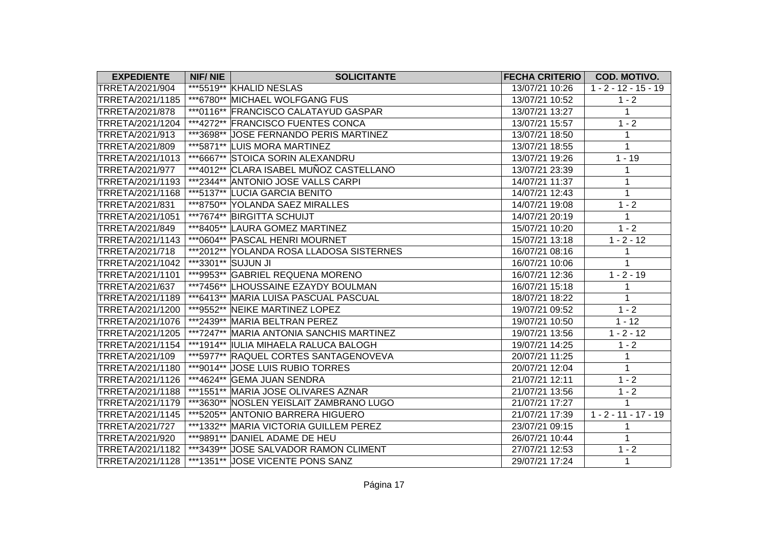| <b>EXPEDIENTE</b> | <b>NIF/NIE</b> | <b>SOLICITANTE</b>                       | <b>FECHA CRITERIO</b> | <b>COD. MOTIVO.</b>    |
|-------------------|----------------|------------------------------------------|-----------------------|------------------------|
| TRRETA/2021/904   |                | ***5519** KHALID NESLAS                  | 13/07/21 10:26        | $1 - 2 - 12 - 15 - 19$ |
| TRRETA/2021/1185  |                | ***6780** MICHAEL WOLFGANG FUS           | 13/07/21 10:52        | $1 - 2$                |
| TRRETA/2021/878   |                | ***0116** FRANCISCO CALATAYUD GASPAR     | 13/07/21 13:27        | $\mathbf{1}$           |
| TRRETA/2021/1204  |                | ***4272** FRANCISCO FUENTES CONCA        | 13/07/21 15:57        | $1 - 2$                |
| TRRETA/2021/913   |                | ***3698** JOSE FERNANDO PERIS MARTINEZ   | 13/07/21 18:50        | $\mathbf{1}$           |
| TRRETA/2021/809   |                | ***5871** LUIS MORA MARTINEZ             | 13/07/21 18:55        | $\mathbf{1}$           |
| TRRETA/2021/1013  |                | ***6667** STOICA SORIN ALEXANDRU         | 13/07/21 19:26        | $1 - 19$               |
| TRRETA/2021/977   |                | ***4012** CLARA ISABEL MUÑOZ CASTELLANO  | 13/07/21 23:39        | $\mathbf{1}$           |
| TRRETA/2021/1193  |                | ***2344** ANTONIO JOSE VALLS CARPI       | 14/07/21 11:37        | $\mathbf{1}$           |
| TRRETA/2021/1168  |                | ***5137** LUCIA GARCIA BENITO            | 14/07/21 12:43        | $\mathbf{1}$           |
| TRRETA/2021/831   |                | ***8750** YOLANDA SAEZ MIRALLES          | 14/07/21 19:08        | $1 - 2$                |
| TRRETA/2021/1051  |                | ***7674** BIRGITTA SCHUIJT               | 14/07/21 20:19        | $\mathbf{1}$           |
| TRRETA/2021/849   |                | ***8405** LAURA GOMEZ MARTINEZ           | 15/07/21 10:20        | $1 - 2$                |
| TRRETA/2021/1143  |                | ***0604** PASCAL HENRI MOURNET           | 15/07/21 13:18        | $1 - 2 - 12$           |
| TRRETA/2021/718   |                | ***2012** YOLANDA ROSA LLADOSA SISTERNES | 16/07/21 08:16        | $\mathbf{1}$           |
| TRRETA/2021/1042  |                | ***3301** SUJUN JI                       | 16/07/21 10:06        | $\mathbf{1}$           |
| TRRETA/2021/1101  |                | ***9953** GABRIEL REQUENA MORENO         | 16/07/21 12:36        | $1 - 2 - 19$           |
| TRRETA/2021/637   |                | ***7456** LHOUSSAINE EZAYDY BOULMAN      | 16/07/21 15:18        | $\mathbf{1}$           |
| TRRETA/2021/1189  |                | ***6413** MARIA LUISA PASCUAL PASCUAL    | 18/07/21 18:22        | $\mathbf{1}$           |
| TRRETA/2021/1200  |                | ***9552** NEIKE MARTINEZ LOPEZ           | 19/07/21 09:52        | $1 - 2$                |
| TRRETA/2021/1076  |                | ***2439** MARIA BELTRAN PEREZ            | 19/07/21 10:50        | $1 - 12$               |
| TRRETA/2021/1205  |                | ***7247** MARIA ANTONIA SANCHIS MARTINEZ | 19/07/21 13:56        | $1 - 2 - 12$           |
| TRRETA/2021/1154  |                | ***1914** IULIA MIHAELA RALUCA BALOGH    | 19/07/21 14:25        | $1 - 2$                |
| TRRETA/2021/109   |                | ***5977** RAQUEL CORTES SANTAGENOVEVA    | 20/07/21 11:25        | $\mathbf{1}$           |
| TRRETA/2021/1180  |                | ***9014** JOSE LUIS RUBIO TORRES         | 20/07/21 12:04        | $\mathbf{1}$           |
| TRRETA/2021/1126  |                | ***4624** GEMA JUAN SENDRA               | 21/07/21 12:11        | $1 - 2$                |
| TRRETA/2021/1188  |                | ***1551** MARIA JOSE OLIVARES AZNAR      | 21/07/21 13:56        | $1 - 2$                |
| TRRETA/2021/1179  |                | ***3630** NOSLEN YEISLAIT ZAMBRANO LUGO  | 21/07/21 17:27        | $\mathbf{1}$           |
| TRRETA/2021/1145  |                | ***5205** ANTONIO BARRERA HIGUERO        | 21/07/21 17:39        | $1 - 2 - 11 - 17 - 19$ |
| TRRETA/2021/727   |                | ***1332** MARIA VICTORIA GUILLEM PEREZ   | 23/07/21 09:15        | 1                      |
| TRRETA/2021/920   |                | ***9891** DANIEL ADAME DE HEU            | 26/07/21 10:44        | $\mathbf{1}$           |
| TRRETA/2021/1182  |                | ***3439** JOSE SALVADOR RAMON CLIMENT    | 27/07/21 12:53        | $1 - 2$                |
| TRRETA/2021/1128  |                | ***1351** JOSE VICENTE PONS SANZ         | 29/07/21 17:24        | $\mathbf{1}$           |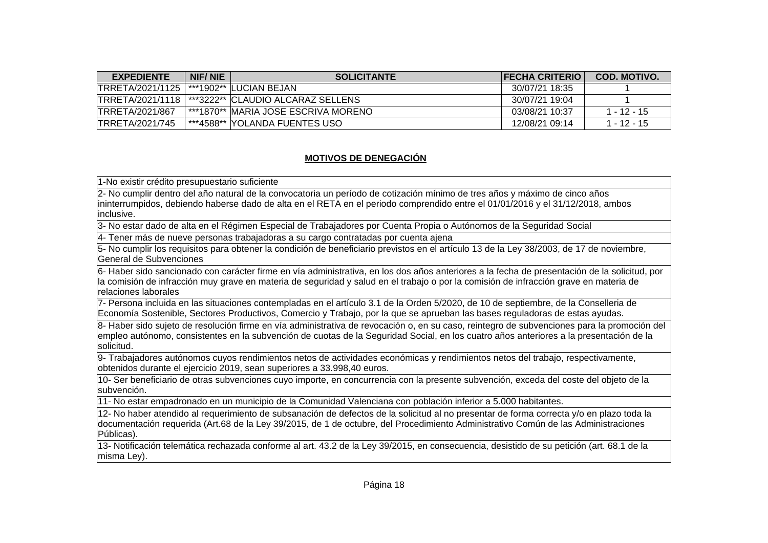| <b>EXPEDIENTE</b>                          | NIF/NIE | <b>SOLICITANTE</b>                                     | <b>FECHA CRITERIO</b> | COD. MOTIVO.  |
|--------------------------------------------|---------|--------------------------------------------------------|-----------------------|---------------|
| TRRETA/2021/1125   ***1902** ILUCIAN BEJAN |         |                                                        | 30/07/21 18:35        |               |
|                                            |         | $TRRETA/2021/1118$   ***3222** CLAUDIO ALCARAZ SELLENS | 30/07/21 19:04        |               |
| <b>ITRRETA/2021/867</b>                    |         | ***1870** MARIA JOSE ESCRIVA MORENO                    | 03/08/21 10:37        | $1 - 12 - 15$ |
| TRRETA/2021/745                            |         | i ***4588**  YOLANDA FUENTES USO                       | 12/08/21 09:14        | $1 - 12 - 15$ |

## **MOTIVOS DE DENEGACIÓN**

1-No existir crédito presupuestario suficiente

2- No cumplir dentro del año natural de la convocatoria un período de cotización mínimo de tres años y máximo de cinco años ininterrumpidos, debiendo haberse dado de alta en el RETA en el periodo comprendido entre el 01/01/2016 y el 31/12/2018, ambos inclusive.

3- No estar dado de alta en el Régimen Especial de Trabajadores por Cuenta Propia o Autónomos de la Seguridad Social

4- Tener más de nueve personas trabajadoras a su cargo contratadas por cuenta ajena

5- No cumplir los requisitos para obtener la condición de beneficiario previstos en el artículo 13 de la Ley 38/2003, de 17 de noviembre, General de Subvenciones

6- Haber sido sancionado con carácter firme en vía administrativa, en los dos años anteriores a la fecha de presentación de la solicitud, por la comisión de infracción muy grave en materia de seguridad y salud en el trabajo o por la comisión de infracción grave en materia de relaciones laborales

7- Persona incluida en las situaciones contempladas en el artículo 3.1 de la Orden 5/2020, de 10 de septiembre, de la Conselleria de Economía Sostenible, Sectores Productivos, Comercio y Trabajo, por la que se aprueban las bases reguladoras de estas ayudas.

8- Haber sido sujeto de resolución firme en vía administrativa de revocación o, en su caso, reintegro de subvenciones para la promoción del empleo autónomo, consistentes en la subvención de cuotas de la Seguridad Social, en los cuatro años anteriores a la presentación de la solicitud.

9- Trabajadores autónomos cuyos rendimientos netos de actividades económicas y rendimientos netos del trabajo, respectivamente, obtenidos durante el ejercicio 2019, sean superiores a 33.998,40 euros.

10- Ser beneficiario de otras subvenciones cuyo importe, en concurrencia con la presente subvención, exceda del coste del objeto de la subvención.

11- No estar empadronado en un municipio de la Comunidad Valenciana con población inferior a 5.000 habitantes.

12- No haber atendido al requerimiento de subsanación de defectos de la solicitud al no presentar de forma correcta y/o en plazo toda la documentación requerida (Art.68 de la Ley 39/2015, de 1 de octubre, del Procedimiento Administrativo Común de las Administraciones Públicas).

13- Notificación telemática rechazada conforme al art. 43.2 de la Ley 39/2015, en consecuencia, desistido de su petición (art. 68.1 de la misma Ley).